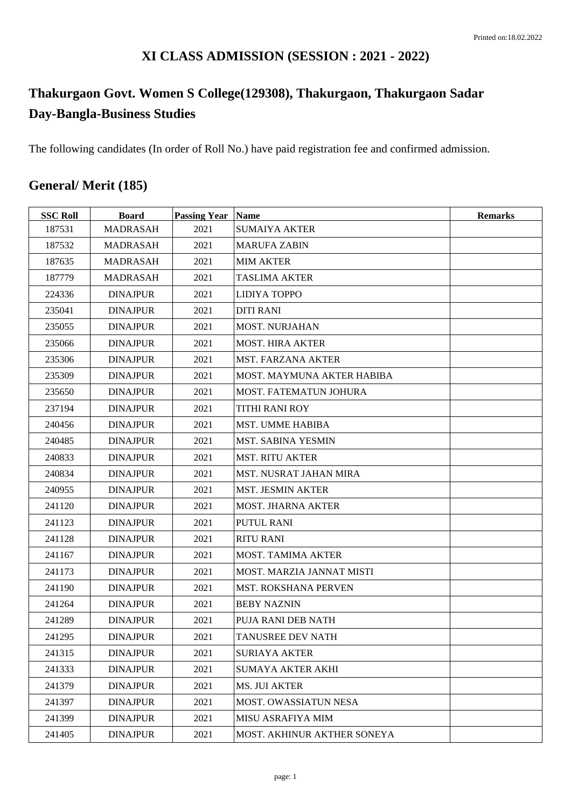### **XI CLASS ADMISSION (SESSION : 2021 - 2022)**

## **Thakurgaon Govt. Women S College(129308), Thakurgaon, Thakurgaon Sadar Day-Bangla-Business Studies**

The following candidates (In order of Roll No.) have paid registration fee and confirmed admission.

## **General/ Merit (185)**

| <b>SSC Roll</b> | <b>Board</b>    | <b>Passing Year Name</b> |                               | <b>Remarks</b> |
|-----------------|-----------------|--------------------------|-------------------------------|----------------|
| 187531          | <b>MADRASAH</b> | 2021                     | <b>SUMAIYA AKTER</b>          |                |
| 187532          | <b>MADRASAH</b> | 2021                     | <b>MARUFA ZABIN</b>           |                |
| 187635          | <b>MADRASAH</b> | 2021                     | <b>MIM AKTER</b>              |                |
| 187779          | <b>MADRASAH</b> | 2021                     | <b>TASLIMA AKTER</b>          |                |
| 224336          | <b>DINAJPUR</b> | 2021                     | <b>LIDIYA TOPPO</b>           |                |
| 235041          | <b>DINAJPUR</b> | 2021                     | <b>DITI RANI</b>              |                |
| 235055          | <b>DINAJPUR</b> | 2021                     | <b>MOST. NURJAHAN</b>         |                |
| 235066          | <b>DINAJPUR</b> | 2021                     | <b>MOST. HIRA AKTER</b>       |                |
| 235306          | <b>DINAJPUR</b> | 2021                     | <b>MST. FARZANA AKTER</b>     |                |
| 235309          | <b>DINAJPUR</b> | 2021                     | MOST. MAYMUNA AKTER HABIBA    |                |
| 235650          | <b>DINAJPUR</b> | 2021                     | MOST. FATEMATUN JOHURA        |                |
| 237194          | <b>DINAJPUR</b> | 2021                     | <b>TITHI RANI ROY</b>         |                |
| 240456          | <b>DINAJPUR</b> | 2021                     | <b>MST. UMME HABIBA</b>       |                |
| 240485          | <b>DINAJPUR</b> | 2021                     | MST. SABINA YESMIN            |                |
| 240833          | <b>DINAJPUR</b> | 2021                     | <b>MST. RITU AKTER</b>        |                |
| 240834          | <b>DINAJPUR</b> | 2021                     | <b>MST. NUSRAT JAHAN MIRA</b> |                |
| 240955          | <b>DINAJPUR</b> | 2021                     | <b>MST. JESMIN AKTER</b>      |                |
| 241120          | <b>DINAJPUR</b> | 2021                     | <b>MOST. JHARNA AKTER</b>     |                |
| 241123          | <b>DINAJPUR</b> | 2021                     | <b>PUTUL RANI</b>             |                |
| 241128          | <b>DINAJPUR</b> | 2021                     | <b>RITU RANI</b>              |                |
| 241167          | <b>DINAJPUR</b> | 2021                     | <b>MOST. TAMIMA AKTER</b>     |                |
| 241173          | <b>DINAJPUR</b> | 2021                     | MOST. MARZIA JANNAT MISTI     |                |
| 241190          | <b>DINAJPUR</b> | 2021                     | <b>MST. ROKSHANA PERVEN</b>   |                |
| 241264          | <b>DINAJPUR</b> | 2021                     | <b>BEBY NAZNIN</b>            |                |
| 241289          | <b>DINAJPUR</b> | 2021                     | PUJA RANI DEB NATH            |                |
| 241295          | <b>DINAJPUR</b> | 2021                     | <b>TANUSREE DEV NATH</b>      |                |
| 241315          | <b>DINAJPUR</b> | 2021                     | <b>SURIAYA AKTER</b>          |                |
| 241333          | <b>DINAJPUR</b> | 2021                     | <b>SUMAYA AKTER AKHI</b>      |                |
| 241379          | <b>DINAJPUR</b> | 2021                     | <b>MS. JUI AKTER</b>          |                |
| 241397          | <b>DINAJPUR</b> | 2021                     | <b>MOST. OWASSIATUN NESA</b>  |                |
| 241399          | <b>DINAJPUR</b> | 2021                     | <b>MISU ASRAFIYA MIM</b>      |                |
| 241405          | <b>DINAJPUR</b> | 2021                     | MOST. AKHINUR AKTHER SONEYA   |                |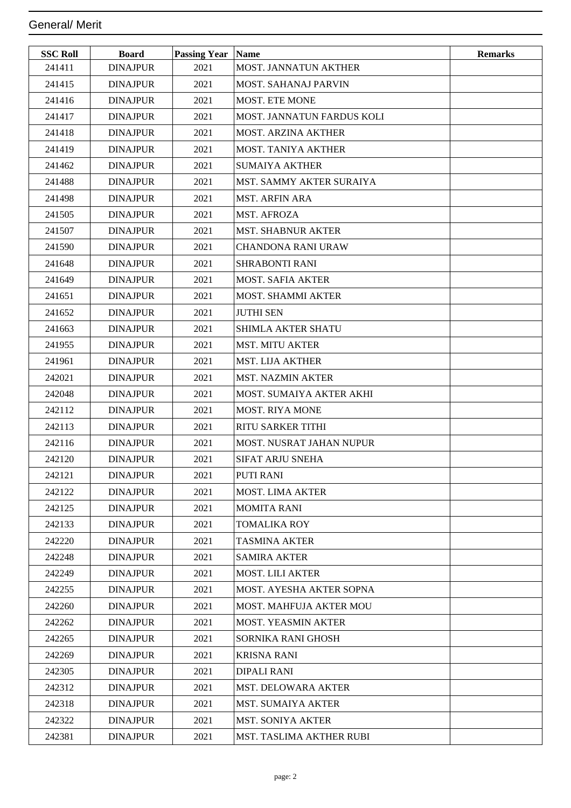| <b>SSC Roll</b> | <b>Board</b>    | <b>Passing Year Name</b> |                            | <b>Remarks</b> |
|-----------------|-----------------|--------------------------|----------------------------|----------------|
| 241411          | <b>DINAJPUR</b> | 2021                     | MOST. JANNATUN AKTHER      |                |
| 241415          | <b>DINAJPUR</b> | 2021                     | MOST. SAHANAJ PARVIN       |                |
| 241416          | <b>DINAJPUR</b> | 2021                     | <b>MOST. ETE MONE</b>      |                |
| 241417          | <b>DINAJPUR</b> | 2021                     | MOST. JANNATUN FARDUS KOLI |                |
| 241418          | <b>DINAJPUR</b> | 2021                     | <b>MOST. ARZINA AKTHER</b> |                |
| 241419          | <b>DINAJPUR</b> | 2021                     | <b>MOST. TANIYA AKTHER</b> |                |
| 241462          | <b>DINAJPUR</b> | 2021                     | <b>SUMAIYA AKTHER</b>      |                |
| 241488          | <b>DINAJPUR</b> | 2021                     | MST. SAMMY AKTER SURAIYA   |                |
| 241498          | <b>DINAJPUR</b> | 2021                     | <b>MST. ARFIN ARA</b>      |                |
| 241505          | <b>DINAJPUR</b> | 2021                     | <b>MST. AFROZA</b>         |                |
| 241507          | <b>DINAJPUR</b> | 2021                     | <b>MST. SHABNUR AKTER</b>  |                |
| 241590          | <b>DINAJPUR</b> | 2021                     | <b>CHANDONA RANI URAW</b>  |                |
| 241648          | <b>DINAJPUR</b> | 2021                     | <b>SHRABONTI RANI</b>      |                |
| 241649          | <b>DINAJPUR</b> | 2021                     | <b>MOST. SAFIA AKTER</b>   |                |
| 241651          | <b>DINAJPUR</b> | 2021                     | <b>MOST. SHAMMI AKTER</b>  |                |
| 241652          | <b>DINAJPUR</b> | 2021                     | <b>JUTHI SEN</b>           |                |
| 241663          | <b>DINAJPUR</b> | 2021                     | <b>SHIMLA AKTER SHATU</b>  |                |
| 241955          | <b>DINAJPUR</b> | 2021                     | <b>MST. MITU AKTER</b>     |                |
| 241961          | <b>DINAJPUR</b> | 2021                     | <b>MST. LIJA AKTHER</b>    |                |
| 242021          | <b>DINAJPUR</b> | 2021                     | MST. NAZMIN AKTER          |                |
| 242048          | <b>DINAJPUR</b> | 2021                     | MOST. SUMAIYA AKTER AKHI   |                |
| 242112          | <b>DINAJPUR</b> | 2021                     | <b>MOST. RIYA MONE</b>     |                |
| 242113          | <b>DINAJPUR</b> | 2021                     | <b>RITU SARKER TITHI</b>   |                |
| 242116          | <b>DINAJPUR</b> | 2021                     | MOST. NUSRAT JAHAN NUPUR   |                |
| 242120          | <b>DINAJPUR</b> | 2021                     | <b>SIFAT ARJU SNEHA</b>    |                |
| 242121          | <b>DINAJPUR</b> | 2021                     | PUTI RANI                  |                |
| 242122          | <b>DINAJPUR</b> | 2021                     | <b>MOST. LIMA AKTER</b>    |                |
| 242125          | <b>DINAJPUR</b> | 2021                     | <b>MOMITA RANI</b>         |                |
| 242133          | <b>DINAJPUR</b> | 2021                     | <b>TOMALIKA ROY</b>        |                |
| 242220          | <b>DINAJPUR</b> | 2021                     | <b>TASMINA AKTER</b>       |                |
| 242248          | <b>DINAJPUR</b> | 2021                     | <b>SAMIRA AKTER</b>        |                |
| 242249          | <b>DINAJPUR</b> | 2021                     | <b>MOST. LILI AKTER</b>    |                |
| 242255          | <b>DINAJPUR</b> | 2021                     | MOST. AYESHA AKTER SOPNA   |                |
| 242260          | <b>DINAJPUR</b> | 2021                     | MOST. MAHFUJA AKTER MOU    |                |
| 242262          | <b>DINAJPUR</b> | 2021                     | MOST. YEASMIN AKTER        |                |
| 242265          | <b>DINAJPUR</b> | 2021                     | <b>SORNIKA RANI GHOSH</b>  |                |
| 242269          | <b>DINAJPUR</b> | 2021                     | <b>KRISNA RANI</b>         |                |
| 242305          | <b>DINAJPUR</b> | 2021                     | <b>DIPALI RANI</b>         |                |
| 242312          | <b>DINAJPUR</b> | 2021                     | <b>MST. DELOWARA AKTER</b> |                |
| 242318          | <b>DINAJPUR</b> | 2021                     | MST. SUMAIYA AKTER         |                |
| 242322          | <b>DINAJPUR</b> | 2021                     | MST. SONIYA AKTER          |                |
| 242381          | <b>DINAJPUR</b> | 2021                     | MST. TASLIMA AKTHER RUBI   |                |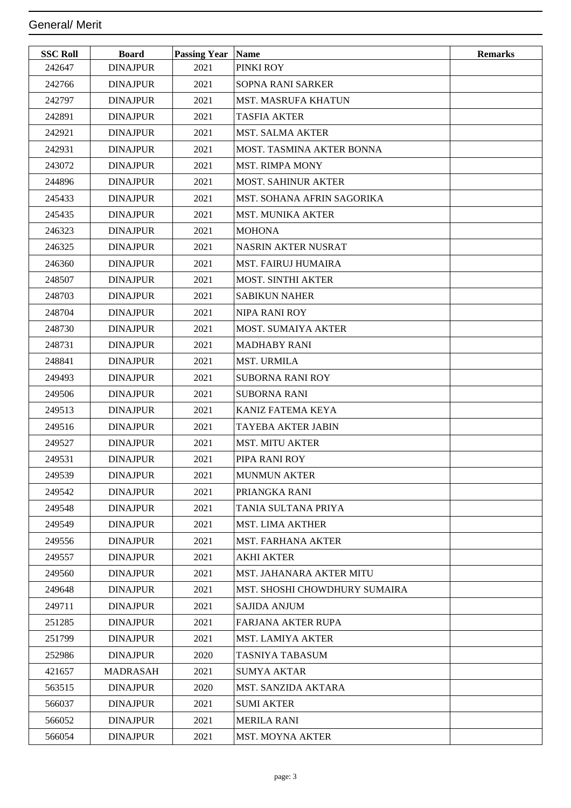| <b>SSC Roll</b> | <b>Board</b>    | Passing Year Name |                                      | <b>Remarks</b> |
|-----------------|-----------------|-------------------|--------------------------------------|----------------|
| 242647          | <b>DINAJPUR</b> | 2021              | PINKI ROY                            |                |
| 242766          | <b>DINAJPUR</b> | 2021              | SOPNA RANI SARKER                    |                |
| 242797          | <b>DINAJPUR</b> | 2021              | <b>MST. MASRUFA KHATUN</b>           |                |
| 242891          | <b>DINAJPUR</b> | 2021              | <b>TASFIA AKTER</b>                  |                |
| 242921          | <b>DINAJPUR</b> | 2021              | <b>MST. SALMA AKTER</b>              |                |
| 242931          | <b>DINAJPUR</b> | 2021              | <b>MOST. TASMINA AKTER BONNA</b>     |                |
| 243072          | <b>DINAJPUR</b> | 2021              | <b>MST. RIMPA MONY</b>               |                |
| 244896          | <b>DINAJPUR</b> | 2021              | <b>MOST. SAHINUR AKTER</b>           |                |
| 245433          | <b>DINAJPUR</b> | 2021              | MST. SOHANA AFRIN SAGORIKA           |                |
| 245435          | <b>DINAJPUR</b> | 2021              | <b>MST. MUNIKA AKTER</b>             |                |
| 246323          | <b>DINAJPUR</b> | 2021              | <b>MOHONA</b>                        |                |
| 246325          | <b>DINAJPUR</b> | 2021              | <b>NASRIN AKTER NUSRAT</b>           |                |
| 246360          | <b>DINAJPUR</b> | 2021              | <b>MST. FAIRUJ HUMAIRA</b>           |                |
| 248507          | <b>DINAJPUR</b> | 2021              | <b>MOST. SINTHI AKTER</b>            |                |
| 248703          | <b>DINAJPUR</b> | 2021              | <b>SABIKUN NAHER</b>                 |                |
| 248704          | <b>DINAJPUR</b> | 2021              | NIPA RANI ROY                        |                |
| 248730          | <b>DINAJPUR</b> | 2021              | <b>MOST. SUMAIYA AKTER</b>           |                |
| 248731          | <b>DINAJPUR</b> | 2021              | <b>MADHABY RANI</b>                  |                |
| 248841          | <b>DINAJPUR</b> | 2021              | <b>MST. URMILA</b>                   |                |
| 249493          | <b>DINAJPUR</b> | 2021              | <b>SUBORNA RANI ROY</b>              |                |
| 249506          | <b>DINAJPUR</b> | 2021              | <b>SUBORNA RANI</b>                  |                |
| 249513          | <b>DINAJPUR</b> | 2021              | KANIZ FATEMA KEYA                    |                |
| 249516          | <b>DINAJPUR</b> | 2021              | <b>TAYEBA AKTER JABIN</b>            |                |
| 249527          | <b>DINAJPUR</b> | 2021              | <b>MST. MITU AKTER</b>               |                |
| 249531          | <b>DINAJPUR</b> | 2021              | PIPA RANI ROY                        |                |
| 249539          | <b>DINAJPUR</b> | 2021              | <b>MUNMUN AKTER</b>                  |                |
| 249542          | <b>DINAJPUR</b> | 2021              | PRIANGKA RANI                        |                |
| 249548          | <b>DINAJPUR</b> | 2021              | TANIA SULTANA PRIYA                  |                |
| 249549          | <b>DINAJPUR</b> | 2021              | <b>MST. LIMA AKTHER</b>              |                |
| 249556          | <b>DINAJPUR</b> | 2021              | <b>MST. FARHANA AKTER</b>            |                |
| 249557          | <b>DINAJPUR</b> | 2021              | <b>AKHI AKTER</b>                    |                |
| 249560          | <b>DINAJPUR</b> | 2021              | MST. JAHANARA AKTER MITU             |                |
| 249648          | <b>DINAJPUR</b> | 2021              | <b>MST. SHOSHI CHOWDHURY SUMAIRA</b> |                |
| 249711          | <b>DINAJPUR</b> | 2021              | <b>SAJIDA ANJUM</b>                  |                |
| 251285          | <b>DINAJPUR</b> | 2021              | FARJANA AKTER RUPA                   |                |
| 251799          | <b>DINAJPUR</b> | 2021              | <b>MST. LAMIYA AKTER</b>             |                |
| 252986          | <b>DINAJPUR</b> | 2020              | TASNIYA TABASUM                      |                |
| 421657          | <b>MADRASAH</b> | 2021              | SUMYA AKTAR                          |                |
| 563515          | <b>DINAJPUR</b> | 2020              | MST. SANZIDA AKTARA                  |                |
| 566037          | <b>DINAJPUR</b> | 2021              | <b>SUMI AKTER</b>                    |                |
| 566052          | <b>DINAJPUR</b> | 2021              | <b>MERILA RANI</b>                   |                |
| 566054          | <b>DINAJPUR</b> | 2021              | <b>MST. MOYNA AKTER</b>              |                |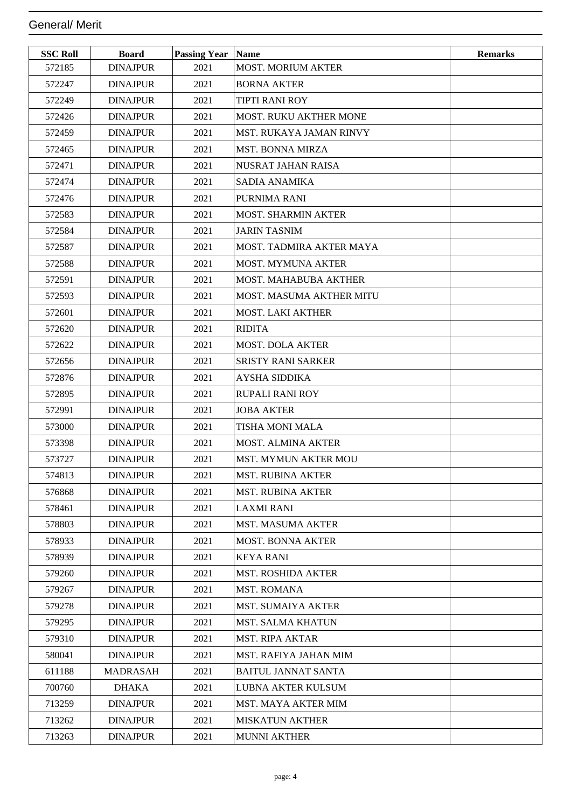| <b>SSC Roll</b> | <b>Board</b>    | <b>Passing Year   Name</b> |                                | <b>Remarks</b> |
|-----------------|-----------------|----------------------------|--------------------------------|----------------|
| 572185          | <b>DINAJPUR</b> | 2021                       | <b>MOST. MORIUM AKTER</b>      |                |
| 572247          | <b>DINAJPUR</b> | 2021                       | <b>BORNA AKTER</b>             |                |
| 572249          | <b>DINAJPUR</b> | 2021                       | <b>TIPTI RANI ROY</b>          |                |
| 572426          | <b>DINAJPUR</b> | 2021                       | <b>MOST. RUKU AKTHER MONE</b>  |                |
| 572459          | <b>DINAJPUR</b> | 2021                       | <b>MST. RUKAYA JAMAN RINVY</b> |                |
| 572465          | <b>DINAJPUR</b> | 2021                       | <b>MST. BONNA MIRZA</b>        |                |
| 572471          | <b>DINAJPUR</b> | 2021                       | NUSRAT JAHAN RAISA             |                |
| 572474          | <b>DINAJPUR</b> | 2021                       | SADIA ANAMIKA                  |                |
| 572476          | <b>DINAJPUR</b> | 2021                       | PURNIMA RANI                   |                |
| 572583          | <b>DINAJPUR</b> | 2021                       | <b>MOST. SHARMIN AKTER</b>     |                |
| 572584          | <b>DINAJPUR</b> | 2021                       | <b>JARIN TASNIM</b>            |                |
| 572587          | <b>DINAJPUR</b> | 2021                       | MOST. TADMIRA AKTER MAYA       |                |
| 572588          | <b>DINAJPUR</b> | 2021                       | <b>MOST. MYMUNA AKTER</b>      |                |
| 572591          | <b>DINAJPUR</b> | 2021                       | <b>MOST. MAHABUBA AKTHER</b>   |                |
| 572593          | <b>DINAJPUR</b> | 2021                       | MOST. MASUMA AKTHER MITU       |                |
| 572601          | <b>DINAJPUR</b> | 2021                       | <b>MOST. LAKI AKTHER</b>       |                |
| 572620          | <b>DINAJPUR</b> | 2021                       | <b>RIDITA</b>                  |                |
| 572622          | <b>DINAJPUR</b> | 2021                       | <b>MOST. DOLA AKTER</b>        |                |
| 572656          | <b>DINAJPUR</b> | 2021                       | <b>SRISTY RANI SARKER</b>      |                |
| 572876          | <b>DINAJPUR</b> | 2021                       | <b>AYSHA SIDDIKA</b>           |                |
| 572895          | <b>DINAJPUR</b> | 2021                       | RUPALI RANI ROY                |                |
| 572991          | <b>DINAJPUR</b> | 2021                       | <b>JOBA AKTER</b>              |                |
| 573000          | <b>DINAJPUR</b> | 2021                       | TISHA MONI MALA                |                |
| 573398          | <b>DINAJPUR</b> | 2021                       | <b>MOST. ALMINA AKTER</b>      |                |
| 573727          | <b>DINAJPUR</b> | 2021                       | <b>MST. MYMUN AKTER MOU</b>    |                |
| 574813          | <b>DINAJPUR</b> | 2021                       | MST. RUBINA AKTER              |                |
| 576868          | <b>DINAJPUR</b> | 2021                       | <b>MST. RUBINA AKTER</b>       |                |
| 578461          | <b>DINAJPUR</b> | 2021                       | LAXMI RANI                     |                |
| 578803          | <b>DINAJPUR</b> | 2021                       | <b>MST. MASUMA AKTER</b>       |                |
| 578933          | <b>DINAJPUR</b> | 2021                       | <b>MOST. BONNA AKTER</b>       |                |
| 578939          | <b>DINAJPUR</b> | 2021                       | <b>KEYA RANI</b>               |                |
| 579260          | <b>DINAJPUR</b> | 2021                       | <b>MST. ROSHIDA AKTER</b>      |                |
| 579267          | <b>DINAJPUR</b> | 2021                       | <b>MST. ROMANA</b>             |                |
| 579278          | <b>DINAJPUR</b> | 2021                       | <b>MST. SUMAIYA AKTER</b>      |                |
| 579295          | <b>DINAJPUR</b> | 2021                       | <b>MST. SALMA KHATUN</b>       |                |
| 579310          | <b>DINAJPUR</b> | 2021                       | <b>MST. RIPA AKTAR</b>         |                |
| 580041          | <b>DINAJPUR</b> | 2021                       | MST. RAFIYA JAHAN MIM          |                |
| 611188          | <b>MADRASAH</b> | 2021                       | <b>BAITUL JANNAT SANTA</b>     |                |
| 700760          | <b>DHAKA</b>    | 2021                       | <b>LUBNA AKTER KULSUM</b>      |                |
| 713259          | <b>DINAJPUR</b> | 2021                       | <b>MST. MAYA AKTER MIM</b>     |                |
| 713262          | <b>DINAJPUR</b> | 2021                       | <b>MISKATUN AKTHER</b>         |                |
| 713263          | <b>DINAJPUR</b> | 2021                       | <b>MUNNI AKTHER</b>            |                |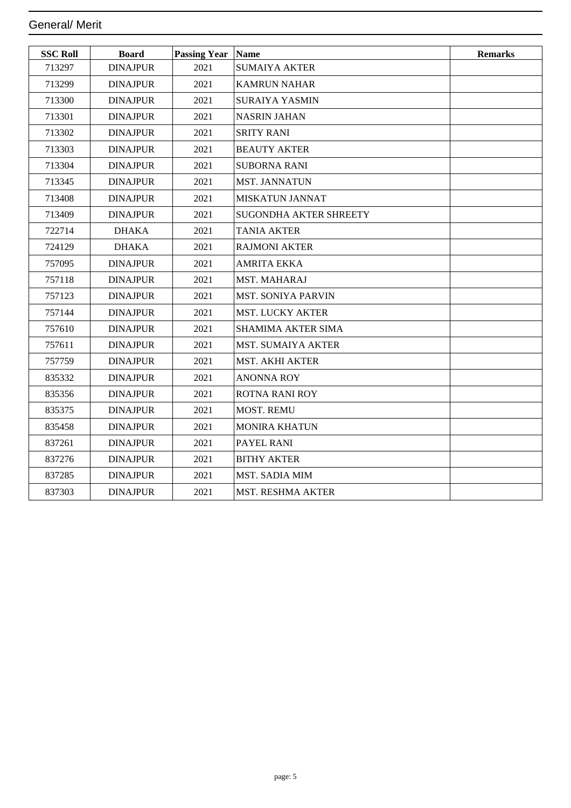| <b>SSC Roll</b> | <b>Board</b>    | <b>Passing Year</b> | Name                          | <b>Remarks</b> |
|-----------------|-----------------|---------------------|-------------------------------|----------------|
| 713297          | <b>DINAJPUR</b> | 2021                | <b>SUMAIYA AKTER</b>          |                |
| 713299          | <b>DINAJPUR</b> | 2021                | <b>KAMRUN NAHAR</b>           |                |
| 713300          | <b>DINAJPUR</b> | 2021                | <b>SURAIYA YASMIN</b>         |                |
| 713301          | <b>DINAJPUR</b> | 2021                | <b>NASRIN JAHAN</b>           |                |
| 713302          | <b>DINAJPUR</b> | 2021                | <b>SRITY RANI</b>             |                |
| 713303          | <b>DINAJPUR</b> | 2021                | <b>BEAUTY AKTER</b>           |                |
| 713304          | <b>DINAJPUR</b> | 2021                | <b>SUBORNA RANI</b>           |                |
| 713345          | <b>DINAJPUR</b> | 2021                | <b>MST. JANNATUN</b>          |                |
| 713408          | <b>DINAJPUR</b> | 2021                | <b>MISKATUN JANNAT</b>        |                |
| 713409          | <b>DINAJPUR</b> | 2021                | <b>SUGONDHA AKTER SHREETY</b> |                |
| 722714          | <b>DHAKA</b>    | 2021                | <b>TANIA AKTER</b>            |                |
| 724129          | <b>DHAKA</b>    | 2021                | <b>RAJMONI AKTER</b>          |                |
| 757095          | <b>DINAJPUR</b> | 2021                | <b>AMRITA EKKA</b>            |                |
| 757118          | <b>DINAJPUR</b> | 2021                | <b>MST. MAHARAJ</b>           |                |
| 757123          | <b>DINAJPUR</b> | 2021                | <b>MST. SONIYA PARVIN</b>     |                |
| 757144          | <b>DINAJPUR</b> | 2021                | <b>MST. LUCKY AKTER</b>       |                |
| 757610          | <b>DINAJPUR</b> | 2021                | <b>SHAMIMA AKTER SIMA</b>     |                |
| 757611          | <b>DINAJPUR</b> | 2021                | <b>MST. SUMAIYA AKTER</b>     |                |
| 757759          | <b>DINAJPUR</b> | 2021                | <b>MST. AKHI AKTER</b>        |                |
| 835332          | <b>DINAJPUR</b> | 2021                | <b>ANONNA ROY</b>             |                |
| 835356          | <b>DINAJPUR</b> | 2021                | <b>ROTNA RANI ROY</b>         |                |
| 835375          | <b>DINAJPUR</b> | 2021                | <b>MOST. REMU</b>             |                |
| 835458          | <b>DINAJPUR</b> | 2021                | <b>MONIRA KHATUN</b>          |                |
| 837261          | <b>DINAJPUR</b> | 2021                | PAYEL RANI                    |                |
| 837276          | <b>DINAJPUR</b> | 2021                | <b>BITHY AKTER</b>            |                |
| 837285          | <b>DINAJPUR</b> | 2021                | <b>MST. SADIA MIM</b>         |                |
| 837303          | <b>DINAJPUR</b> | 2021                | <b>MST. RESHMA AKTER</b>      |                |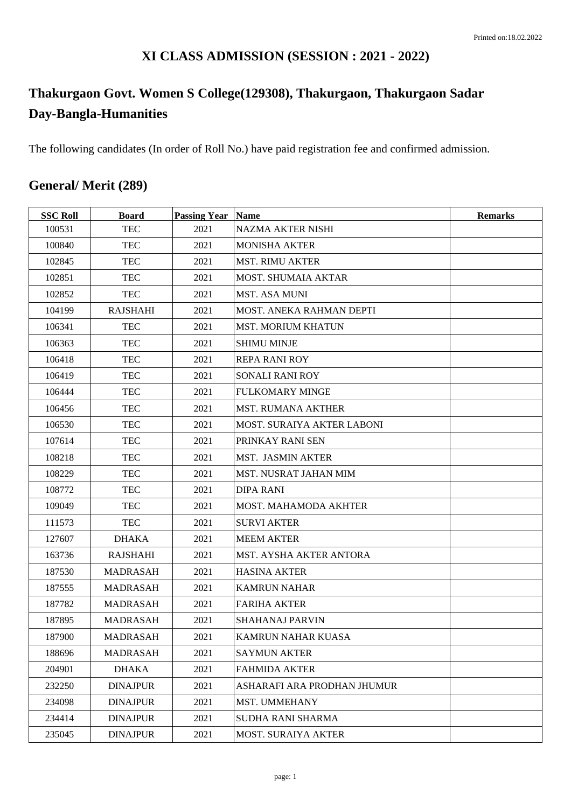### **XI CLASS ADMISSION (SESSION : 2021 - 2022)**

# **Thakurgaon Govt. Women S College(129308), Thakurgaon, Thakurgaon Sadar Day-Bangla-Humanities**

The following candidates (In order of Roll No.) have paid registration fee and confirmed admission.

## **General/ Merit (289)**

| <b>SSC Roll</b> | <b>Board</b>    | <b>Passing Year   Name</b> |                                | <b>Remarks</b> |
|-----------------|-----------------|----------------------------|--------------------------------|----------------|
| 100531          | <b>TEC</b>      | 2021                       | <b>NAZMA AKTER NISHI</b>       |                |
| 100840          | <b>TEC</b>      | 2021                       | <b>MONISHA AKTER</b>           |                |
| 102845          | <b>TEC</b>      | 2021                       | <b>MST. RIMU AKTER</b>         |                |
| 102851          | <b>TEC</b>      | 2021                       | MOST. SHUMAIA AKTAR            |                |
| 102852          | <b>TEC</b>      | 2021                       | <b>MST. ASA MUNI</b>           |                |
| 104199          | <b>RAJSHAHI</b> | 2021                       | MOST. ANEKA RAHMAN DEPTI       |                |
| 106341          | <b>TEC</b>      | 2021                       | <b>MST. MORIUM KHATUN</b>      |                |
| 106363          | <b>TEC</b>      | 2021                       | <b>SHIMU MINJE</b>             |                |
| 106418          | <b>TEC</b>      | 2021                       | <b>REPA RANI ROY</b>           |                |
| 106419          | <b>TEC</b>      | 2021                       | SONALI RANI ROY                |                |
| 106444          | <b>TEC</b>      | 2021                       | <b>FULKOMARY MINGE</b>         |                |
| 106456          | <b>TEC</b>      | 2021                       | <b>MST. RUMANA AKTHER</b>      |                |
| 106530          | <b>TEC</b>      | 2021                       | MOST. SURAIYA AKTER LABONI     |                |
| 107614          | <b>TEC</b>      | 2021                       | PRINKAY RANI SEN               |                |
| 108218          | <b>TEC</b>      | 2021                       | <b>MST. JASMIN AKTER</b>       |                |
| 108229          | <b>TEC</b>      | 2021                       | MST. NUSRAT JAHAN MIM          |                |
| 108772          | <b>TEC</b>      | 2021                       | <b>DIPA RANI</b>               |                |
| 109049          | <b>TEC</b>      | 2021                       | MOST. MAHAMODA AKHTER          |                |
| 111573          | <b>TEC</b>      | 2021                       | <b>SURVI AKTER</b>             |                |
| 127607          | <b>DHAKA</b>    | 2021                       | <b>MEEM AKTER</b>              |                |
| 163736          | <b>RAJSHAHI</b> | 2021                       | <b>MST. AYSHA AKTER ANTORA</b> |                |
| 187530          | <b>MADRASAH</b> | 2021                       | <b>HASINA AKTER</b>            |                |
| 187555          | MADRASAH        | 2021                       | <b>KAMRUN NAHAR</b>            |                |
| 187782          | <b>MADRASAH</b> | 2021                       | <b>FARIHA AKTER</b>            |                |
| 187895          | <b>MADRASAH</b> | 2021                       | <b>SHAHANAJ PARVIN</b>         |                |
| 187900          | <b>MADRASAH</b> | 2021                       | KAMRUN NAHAR KUASA             |                |
| 188696          | <b>MADRASAH</b> | 2021                       | <b>SAYMUN AKTER</b>            |                |
| 204901          | <b>DHAKA</b>    | 2021                       | <b>FAHMIDA AKTER</b>           |                |
| 232250          | <b>DINAJPUR</b> | 2021                       | ASHARAFI ARA PRODHAN JHUMUR    |                |
| 234098          | <b>DINAJPUR</b> | 2021                       | MST. UMMEHANY                  |                |
| 234414          | <b>DINAJPUR</b> | 2021                       | <b>SUDHA RANI SHARMA</b>       |                |
| 235045          | <b>DINAJPUR</b> | 2021                       | <b>MOST. SURAIYA AKTER</b>     |                |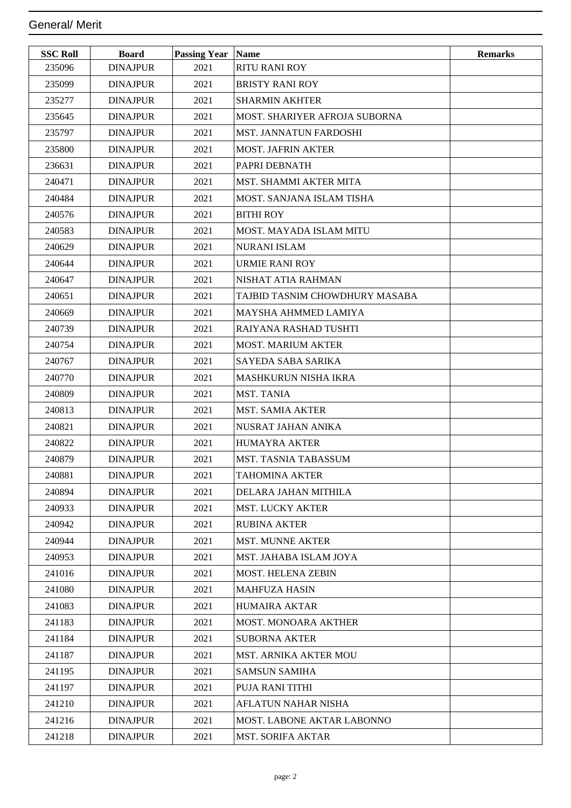| <b>SSC Roll</b> | <b>Board</b>    | <b>Passing Year Name</b> |                                      | <b>Remarks</b> |
|-----------------|-----------------|--------------------------|--------------------------------------|----------------|
| 235096          | <b>DINAJPUR</b> | 2021                     | <b>RITU RANI ROY</b>                 |                |
| 235099          | <b>DINAJPUR</b> | 2021                     | <b>BRISTY RANI ROY</b>               |                |
| 235277          | <b>DINAJPUR</b> | 2021                     | <b>SHARMIN AKHTER</b>                |                |
| 235645          | <b>DINAJPUR</b> | 2021                     | <b>MOST. SHARIYER AFROJA SUBORNA</b> |                |
| 235797          | <b>DINAJPUR</b> | 2021                     | MST. JANNATUN FARDOSHI               |                |
| 235800          | <b>DINAJPUR</b> | 2021                     | <b>MOST. JAFRIN AKTER</b>            |                |
| 236631          | <b>DINAJPUR</b> | 2021                     | PAPRI DEBNATH                        |                |
| 240471          | <b>DINAJPUR</b> | 2021                     | MST. SHAMMI AKTER MITA               |                |
| 240484          | <b>DINAJPUR</b> | 2021                     | MOST. SANJANA ISLAM TISHA            |                |
| 240576          | <b>DINAJPUR</b> | 2021                     | <b>BITHI ROY</b>                     |                |
| 240583          | <b>DINAJPUR</b> | 2021                     | MOST. MAYADA ISLAM MITU              |                |
| 240629          | <b>DINAJPUR</b> | 2021                     | <b>NURANI ISLAM</b>                  |                |
| 240644          | <b>DINAJPUR</b> | 2021                     | <b>URMIE RANI ROY</b>                |                |
| 240647          | <b>DINAJPUR</b> | 2021                     | NISHAT ATIA RAHMAN                   |                |
| 240651          | <b>DINAJPUR</b> | 2021                     | TAJBID TASNIM CHOWDHURY MASABA       |                |
| 240669          | <b>DINAJPUR</b> | 2021                     | <b>MAYSHA AHMMED LAMIYA</b>          |                |
| 240739          | <b>DINAJPUR</b> | 2021                     | RAIYANA RASHAD TUSHTI                |                |
| 240754          | <b>DINAJPUR</b> | 2021                     | <b>MOST. MARIUM AKTER</b>            |                |
| 240767          | <b>DINAJPUR</b> | 2021                     | SAYEDA SABA SARIKA                   |                |
| 240770          | <b>DINAJPUR</b> | 2021                     | <b>MASHKURUN NISHA IKRA</b>          |                |
| 240809          | <b>DINAJPUR</b> | 2021                     | <b>MST. TANIA</b>                    |                |
| 240813          | <b>DINAJPUR</b> | 2021                     | <b>MST. SAMIA AKTER</b>              |                |
| 240821          | <b>DINAJPUR</b> | 2021                     | NUSRAT JAHAN ANIKA                   |                |
| 240822          | <b>DINAJPUR</b> | 2021                     | <b>HUMAYRA AKTER</b>                 |                |
| 240879          | <b>DINAJPUR</b> | 2021                     | <b>MST. TASNIA TABASSUM</b>          |                |
| 240881          | <b>DINAJPUR</b> | 2021                     | <b>TAHOMINA AKTER</b>                |                |
| 240894          | <b>DINAJPUR</b> | 2021                     | DELARA JAHAN MITHILA                 |                |
| 240933          | <b>DINAJPUR</b> | 2021                     | <b>MST. LUCKY AKTER</b>              |                |
| 240942          | <b>DINAJPUR</b> | 2021                     | <b>RUBINA AKTER</b>                  |                |
| 240944          | <b>DINAJPUR</b> | 2021                     | <b>MST. MUNNE AKTER</b>              |                |
| 240953          | <b>DINAJPUR</b> | 2021                     | MST. JAHABA ISLAM JOYA               |                |
| 241016          | <b>DINAJPUR</b> | 2021                     | <b>MOST. HELENA ZEBIN</b>            |                |
| 241080          | <b>DINAJPUR</b> | 2021                     | <b>MAHFUZA HASIN</b>                 |                |
| 241083          | <b>DINAJPUR</b> | 2021                     | <b>HUMAIRA AKTAR</b>                 |                |
| 241183          | <b>DINAJPUR</b> | 2021                     | <b>MOST. MONOARA AKTHER</b>          |                |
| 241184          | <b>DINAJPUR</b> | 2021                     | <b>SUBORNA AKTER</b>                 |                |
| 241187          | <b>DINAJPUR</b> | 2021                     | MST. ARNIKA AKTER MOU                |                |
| 241195          | <b>DINAJPUR</b> | 2021                     | <b>SAMSUN SAMIHA</b>                 |                |
| 241197          | <b>DINAJPUR</b> | 2021                     | PUJA RANI TITHI                      |                |
| 241210          | <b>DINAJPUR</b> | 2021                     | AFLATUN NAHAR NISHA                  |                |
| 241216          | <b>DINAJPUR</b> | 2021                     | <b>MOST. LABONE AKTAR LABONNO</b>    |                |
| 241218          | <b>DINAJPUR</b> | 2021                     | <b>MST. SORIFA AKTAR</b>             |                |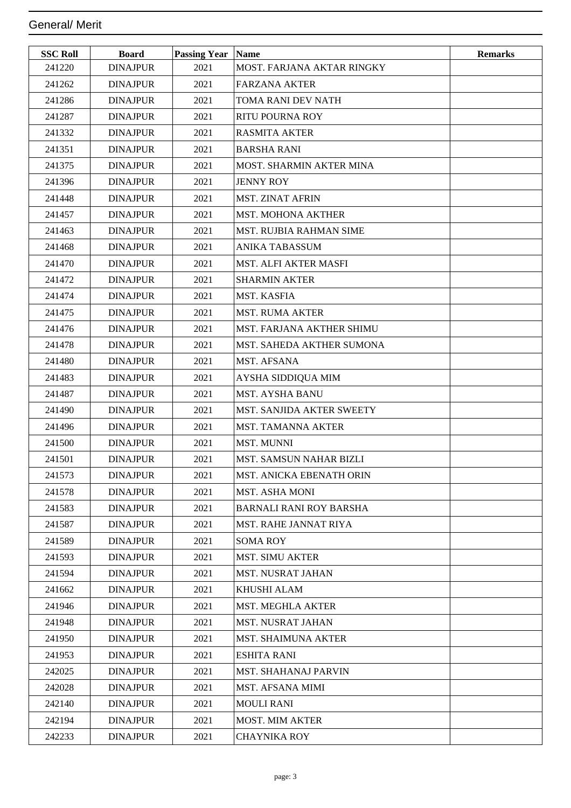| <b>SSC Roll</b> | <b>Board</b>    | <b>Passing Year Name</b> |                                | <b>Remarks</b> |
|-----------------|-----------------|--------------------------|--------------------------------|----------------|
| 241220          | <b>DINAJPUR</b> | 2021                     | MOST. FARJANA AKTAR RINGKY     |                |
| 241262          | <b>DINAJPUR</b> | 2021                     | <b>FARZANA AKTER</b>           |                |
| 241286          | <b>DINAJPUR</b> | 2021                     | TOMA RANI DEV NATH             |                |
| 241287          | <b>DINAJPUR</b> | 2021                     | <b>RITU POURNA ROY</b>         |                |
| 241332          | <b>DINAJPUR</b> | 2021                     | <b>RASMITA AKTER</b>           |                |
| 241351          | <b>DINAJPUR</b> | 2021                     | <b>BARSHA RANI</b>             |                |
| 241375          | <b>DINAJPUR</b> | 2021                     | MOST. SHARMIN AKTER MINA       |                |
| 241396          | <b>DINAJPUR</b> | 2021                     | <b>JENNY ROY</b>               |                |
| 241448          | <b>DINAJPUR</b> | 2021                     | <b>MST. ZINAT AFRIN</b>        |                |
| 241457          | <b>DINAJPUR</b> | 2021                     | <b>MST. MOHONA AKTHER</b>      |                |
| 241463          | <b>DINAJPUR</b> | 2021                     | <b>MST. RUJBIA RAHMAN SIME</b> |                |
| 241468          | <b>DINAJPUR</b> | 2021                     | <b>ANIKA TABASSUM</b>          |                |
| 241470          | <b>DINAJPUR</b> | 2021                     | <b>MST. ALFI AKTER MASFI</b>   |                |
| 241472          | <b>DINAJPUR</b> | 2021                     | <b>SHARMIN AKTER</b>           |                |
| 241474          | <b>DINAJPUR</b> | 2021                     | MST. KASFIA                    |                |
| 241475          | <b>DINAJPUR</b> | 2021                     | <b>MST. RUMA AKTER</b>         |                |
| 241476          | <b>DINAJPUR</b> | 2021                     | MST. FARJANA AKTHER SHIMU      |                |
| 241478          | <b>DINAJPUR</b> | 2021                     | MST. SAHEDA AKTHER SUMONA      |                |
| 241480          | <b>DINAJPUR</b> | 2021                     | MST. AFSANA                    |                |
| 241483          | <b>DINAJPUR</b> | 2021                     | AYSHA SIDDIQUA MIM             |                |
| 241487          | <b>DINAJPUR</b> | 2021                     | <b>MST. AYSHA BANU</b>         |                |
| 241490          | <b>DINAJPUR</b> | 2021                     | MST. SANJIDA AKTER SWEETY      |                |
| 241496          | <b>DINAJPUR</b> | 2021                     | <b>MST. TAMANNA AKTER</b>      |                |
| 241500          | <b>DINAJPUR</b> | 2021                     | <b>MST. MUNNI</b>              |                |
| 241501          | <b>DINAJPUR</b> | 2021                     | <b>MST. SAMSUN NAHAR BIZLI</b> |                |
| 241573          | <b>DINAJPUR</b> | 2021                     | MST. ANICKA EBENATH ORIN       |                |
| 241578          | <b>DINAJPUR</b> | 2021                     | <b>MST. ASHA MONI</b>          |                |
| 241583          | <b>DINAJPUR</b> | 2021                     | <b>BARNALI RANI ROY BARSHA</b> |                |
| 241587          | <b>DINAJPUR</b> | 2021                     | <b>MST. RAHE JANNAT RIYA</b>   |                |
| 241589          | <b>DINAJPUR</b> | 2021                     | <b>SOMA ROY</b>                |                |
| 241593          | <b>DINAJPUR</b> | 2021                     | <b>MST. SIMU AKTER</b>         |                |
| 241594          | <b>DINAJPUR</b> | 2021                     | MST. NUSRAT JAHAN              |                |
| 241662          | <b>DINAJPUR</b> | 2021                     | KHUSHI ALAM                    |                |
| 241946          | <b>DINAJPUR</b> | 2021                     | <b>MST. MEGHLA AKTER</b>       |                |
| 241948          | <b>DINAJPUR</b> | 2021                     | <b>MST. NUSRAT JAHAN</b>       |                |
| 241950          | <b>DINAJPUR</b> | 2021                     | <b>MST. SHAIMUNA AKTER</b>     |                |
| 241953          | <b>DINAJPUR</b> | 2021                     | <b>ESHITA RANI</b>             |                |
| 242025          | <b>DINAJPUR</b> | 2021                     | MST. SHAHANAJ PARVIN           |                |
| 242028          | <b>DINAJPUR</b> | 2021                     | MST. AFSANA MIMI               |                |
| 242140          | <b>DINAJPUR</b> | 2021                     | <b>MOULI RANI</b>              |                |
| 242194          | <b>DINAJPUR</b> | 2021                     | <b>MOST. MIM AKTER</b>         |                |
| 242233          | <b>DINAJPUR</b> | 2021                     | <b>CHAYNIKA ROY</b>            |                |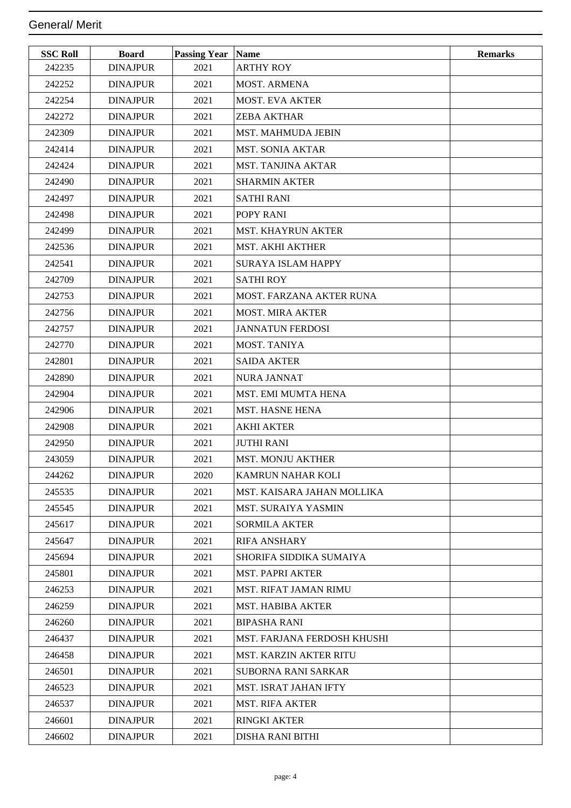| <b>SSC Roll</b> | <b>Board</b>    | <b>Passing Year   Name</b> |                               | <b>Remarks</b> |
|-----------------|-----------------|----------------------------|-------------------------------|----------------|
| 242235          | <b>DINAJPUR</b> | 2021                       | <b>ARTHY ROY</b>              |                |
| 242252          | <b>DINAJPUR</b> | 2021                       | MOST. ARMENA                  |                |
| 242254          | <b>DINAJPUR</b> | 2021                       | <b>MOST. EVA AKTER</b>        |                |
| 242272          | <b>DINAJPUR</b> | 2021                       | <b>ZEBA AKTHAR</b>            |                |
| 242309          | <b>DINAJPUR</b> | 2021                       | <b>MST. MAHMUDA JEBIN</b>     |                |
| 242414          | <b>DINAJPUR</b> | 2021                       | <b>MST. SONIA AKTAR</b>       |                |
| 242424          | <b>DINAJPUR</b> | 2021                       | <b>MST. TANJINA AKTAR</b>     |                |
| 242490          | <b>DINAJPUR</b> | 2021                       | <b>SHARMIN AKTER</b>          |                |
| 242497          | <b>DINAJPUR</b> | 2021                       | <b>SATHI RANI</b>             |                |
| 242498          | <b>DINAJPUR</b> | 2021                       | POPY RANI                     |                |
| 242499          | <b>DINAJPUR</b> | 2021                       | <b>MST. KHAYRUN AKTER</b>     |                |
| 242536          | <b>DINAJPUR</b> | 2021                       | <b>MST. AKHI AKTHER</b>       |                |
| 242541          | <b>DINAJPUR</b> | 2021                       | <b>SURAYA ISLAM HAPPY</b>     |                |
| 242709          | <b>DINAJPUR</b> | 2021                       | <b>SATHIROY</b>               |                |
| 242753          | <b>DINAJPUR</b> | 2021                       | MOST. FARZANA AKTER RUNA      |                |
| 242756          | <b>DINAJPUR</b> | 2021                       | <b>MOST. MIRA AKTER</b>       |                |
| 242757          | <b>DINAJPUR</b> | 2021                       | <b>JANNATUN FERDOSI</b>       |                |
| 242770          | <b>DINAJPUR</b> | 2021                       | MOST. TANIYA                  |                |
| 242801          | <b>DINAJPUR</b> | 2021                       | <b>SAIDA AKTER</b>            |                |
| 242890          | <b>DINAJPUR</b> | 2021                       | <b>NURA JANNAT</b>            |                |
| 242904          | <b>DINAJPUR</b> | 2021                       | MST. EMI MUMTA HENA           |                |
| 242906          | <b>DINAJPUR</b> | 2021                       | <b>MST. HASNE HENA</b>        |                |
| 242908          | <b>DINAJPUR</b> | 2021                       | <b>AKHI AKTER</b>             |                |
| 242950          | <b>DINAJPUR</b> | 2021                       | <b>JUTHI RANI</b>             |                |
| 243059          | <b>DINAJPUR</b> | 2021                       | <b>MST. MONJU AKTHER</b>      |                |
| 244262          | <b>DINAJPUR</b> | 2020                       | KAMRUN NAHAR KOLI             |                |
| 245535          | <b>DINAJPUR</b> | 2021                       | MST. KAISARA JAHAN MOLLIKA    |                |
| 245545          | <b>DINAJPUR</b> | 2021                       | <b>MST. SURAIYA YASMIN</b>    |                |
| 245617          | <b>DINAJPUR</b> | 2021                       | <b>SORMILA AKTER</b>          |                |
| 245647          | <b>DINAJPUR</b> | 2021                       | <b>RIFA ANSHARY</b>           |                |
| 245694          | <b>DINAJPUR</b> | 2021                       | SHORIFA SIDDIKA SUMAIYA       |                |
| 245801          | <b>DINAJPUR</b> | 2021                       | <b>MST. PAPRI AKTER</b>       |                |
| 246253          | <b>DINAJPUR</b> | 2021                       | <b>MST. RIFAT JAMAN RIMU</b>  |                |
| 246259          | <b>DINAJPUR</b> | 2021                       | <b>MST. HABIBA AKTER</b>      |                |
| 246260          | <b>DINAJPUR</b> | 2021                       | <b>BIPASHA RANI</b>           |                |
| 246437          | <b>DINAJPUR</b> | 2021                       | MST. FARJANA FERDOSH KHUSHI   |                |
| 246458          | <b>DINAJPUR</b> | 2021                       | <b>MST. KARZIN AKTER RITU</b> |                |
| 246501          | <b>DINAJPUR</b> | 2021                       | <b>SUBORNA RANI SARKAR</b>    |                |
| 246523          | <b>DINAJPUR</b> | 2021                       | MST. ISRAT JAHAN IFTY         |                |
| 246537          | <b>DINAJPUR</b> | 2021                       | <b>MST. RIFA AKTER</b>        |                |
| 246601          | <b>DINAJPUR</b> | 2021                       | <b>RINGKI AKTER</b>           |                |
| 246602          | <b>DINAJPUR</b> | 2021                       | DISHA RANI BITHI              |                |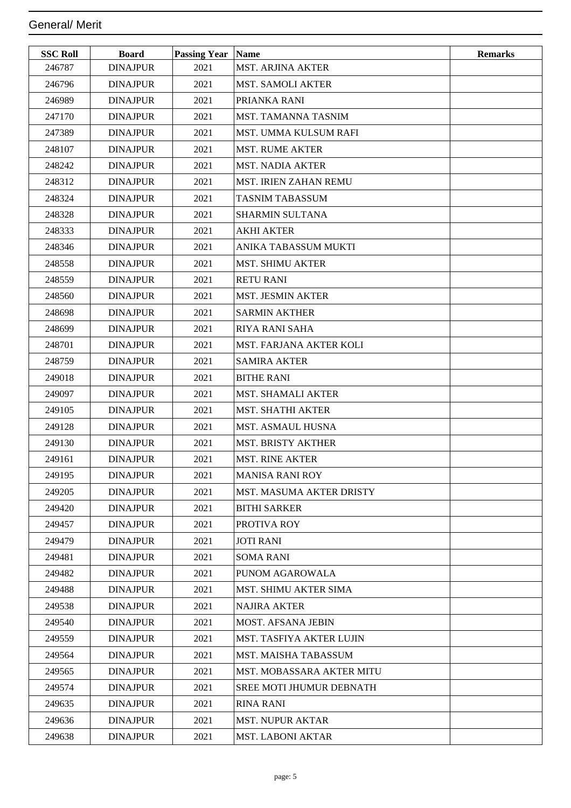| <b>SSC Roll</b> | <b>Board</b>    | <b>Passing Year Name</b> |                                 | <b>Remarks</b> |
|-----------------|-----------------|--------------------------|---------------------------------|----------------|
| 246787          | <b>DINAJPUR</b> | 2021                     | <b>MST. ARJINA AKTER</b>        |                |
| 246796          | <b>DINAJPUR</b> | 2021                     | <b>MST. SAMOLI AKTER</b>        |                |
| 246989          | <b>DINAJPUR</b> | 2021                     | PRIANKA RANI                    |                |
| 247170          | <b>DINAJPUR</b> | 2021                     | MST. TAMANNA TASNIM             |                |
| 247389          | <b>DINAJPUR</b> | 2021                     | MST. UMMA KULSUM RAFI           |                |
| 248107          | <b>DINAJPUR</b> | 2021                     | <b>MST. RUME AKTER</b>          |                |
| 248242          | <b>DINAJPUR</b> | 2021                     | <b>MST. NADIA AKTER</b>         |                |
| 248312          | <b>DINAJPUR</b> | 2021                     | MST. IRIEN ZAHAN REMU           |                |
| 248324          | <b>DINAJPUR</b> | 2021                     | <b>TASNIM TABASSUM</b>          |                |
| 248328          | <b>DINAJPUR</b> | 2021                     | SHARMIN SULTANA                 |                |
| 248333          | <b>DINAJPUR</b> | 2021                     | <b>AKHI AKTER</b>               |                |
| 248346          | <b>DINAJPUR</b> | 2021                     | ANIKA TABASSUM MUKTI            |                |
| 248558          | <b>DINAJPUR</b> | 2021                     | <b>MST. SHIMU AKTER</b>         |                |
| 248559          | <b>DINAJPUR</b> | 2021                     | <b>RETU RANI</b>                |                |
| 248560          | <b>DINAJPUR</b> | 2021                     | <b>MST. JESMIN AKTER</b>        |                |
| 248698          | <b>DINAJPUR</b> | 2021                     | <b>SARMIN AKTHER</b>            |                |
| 248699          | <b>DINAJPUR</b> | 2021                     | <b>RIYA RANI SAHA</b>           |                |
| 248701          | <b>DINAJPUR</b> | 2021                     | MST. FARJANA AKTER KOLI         |                |
| 248759          | <b>DINAJPUR</b> | 2021                     | <b>SAMIRA AKTER</b>             |                |
| 249018          | <b>DINAJPUR</b> | 2021                     | <b>BITHE RANI</b>               |                |
| 249097          | <b>DINAJPUR</b> | 2021                     | <b>MST. SHAMALI AKTER</b>       |                |
| 249105          | <b>DINAJPUR</b> | 2021                     | <b>MST. SHATHI AKTER</b>        |                |
| 249128          | <b>DINAJPUR</b> | 2021                     | <b>MST. ASMAUL HUSNA</b>        |                |
| 249130          | <b>DINAJPUR</b> | 2021                     | <b>MST. BRISTY AKTHER</b>       |                |
| 249161          | <b>DINAJPUR</b> | 2021                     | <b>MST. RINE AKTER</b>          |                |
| 249195          | <b>DINAJPUR</b> | 2021                     | <b>MANISA RANI ROY</b>          |                |
| 249205          | <b>DINAJPUR</b> | 2021                     | <b>MST. MASUMA AKTER DRISTY</b> |                |
| 249420          | <b>DINAJPUR</b> | 2021                     | <b>BITHI SARKER</b>             |                |
| 249457          | <b>DINAJPUR</b> | 2021                     | PROTIVA ROY                     |                |
| 249479          | <b>DINAJPUR</b> | 2021                     | <b>JOTI RANI</b>                |                |
| 249481          | <b>DINAJPUR</b> | 2021                     | <b>SOMA RANI</b>                |                |
| 249482          | <b>DINAJPUR</b> | 2021                     | PUNOM AGAROWALA                 |                |
| 249488          | <b>DINAJPUR</b> | 2021                     | <b>MST. SHIMU AKTER SIMA</b>    |                |
| 249538          | <b>DINAJPUR</b> | 2021                     | <b>NAJIRA AKTER</b>             |                |
| 249540          | <b>DINAJPUR</b> | 2021                     | <b>MOST. AFSANA JEBIN</b>       |                |
| 249559          | <b>DINAJPUR</b> | 2021                     | <b>MST. TASFIYA AKTER LUJIN</b> |                |
| 249564          | <b>DINAJPUR</b> | 2021                     | <b>MST. MAISHA TABASSUM</b>     |                |
| 249565          | <b>DINAJPUR</b> | 2021                     | MST. MOBASSARA AKTER MITU       |                |
| 249574          | <b>DINAJPUR</b> | 2021                     | <b>SREE MOTI JHUMUR DEBNATH</b> |                |
| 249635          | <b>DINAJPUR</b> | 2021                     | <b>RINA RANI</b>                |                |
| 249636          | <b>DINAJPUR</b> | 2021                     | <b>MST. NUPUR AKTAR</b>         |                |
| 249638          | <b>DINAJPUR</b> | 2021                     | <b>MST. LABONI AKTAR</b>        |                |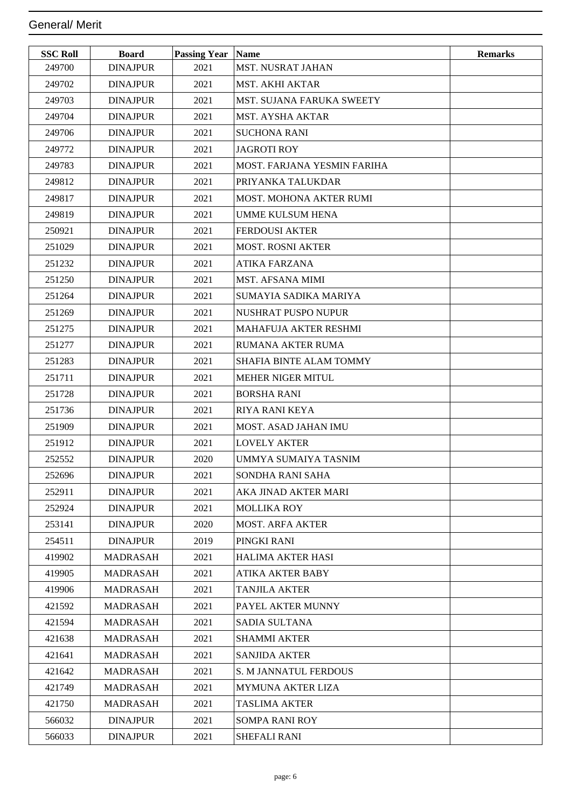| <b>SSC Roll</b> | <b>Board</b>    | <b>Passing Year</b> | <b>Name</b>                    | <b>Remarks</b> |
|-----------------|-----------------|---------------------|--------------------------------|----------------|
| 249700          | <b>DINAJPUR</b> | 2021                | MST. NUSRAT JAHAN              |                |
| 249702          | <b>DINAJPUR</b> | 2021                | <b>MST. AKHI AKTAR</b>         |                |
| 249703          | <b>DINAJPUR</b> | 2021                | MST. SUJANA FARUKA SWEETY      |                |
| 249704          | <b>DINAJPUR</b> | 2021                | <b>MST. AYSHA AKTAR</b>        |                |
| 249706          | <b>DINAJPUR</b> | 2021                | <b>SUCHONA RANI</b>            |                |
| 249772          | <b>DINAJPUR</b> | 2021                | <b>JAGROTI ROY</b>             |                |
| 249783          | <b>DINAJPUR</b> | 2021                | MOST. FARJANA YESMIN FARIHA    |                |
| 249812          | <b>DINAJPUR</b> | 2021                | PRIYANKA TALUKDAR              |                |
| 249817          | <b>DINAJPUR</b> | 2021                | MOST. MOHONA AKTER RUMI        |                |
| 249819          | <b>DINAJPUR</b> | 2021                | <b>UMME KULSUM HENA</b>        |                |
| 250921          | <b>DINAJPUR</b> | 2021                | <b>FERDOUSI AKTER</b>          |                |
| 251029          | <b>DINAJPUR</b> | 2021                | <b>MOST. ROSNI AKTER</b>       |                |
| 251232          | <b>DINAJPUR</b> | 2021                | ATIKA FARZANA                  |                |
| 251250          | <b>DINAJPUR</b> | 2021                | <b>MST. AFSANA MIMI</b>        |                |
| 251264          | <b>DINAJPUR</b> | 2021                | SUMAYIA SADIKA MARIYA          |                |
| 251269          | <b>DINAJPUR</b> | 2021                | <b>NUSHRAT PUSPO NUPUR</b>     |                |
| 251275          | <b>DINAJPUR</b> | 2021                | <b>MAHAFUJA AKTER RESHMI</b>   |                |
| 251277          | <b>DINAJPUR</b> | 2021                | <b>RUMANA AKTER RUMA</b>       |                |
| 251283          | <b>DINAJPUR</b> | 2021                | <b>SHAFIA BINTE ALAM TOMMY</b> |                |
| 251711          | <b>DINAJPUR</b> | 2021                | <b>MEHER NIGER MITUL</b>       |                |
| 251728          | <b>DINAJPUR</b> | 2021                | <b>BORSHA RANI</b>             |                |
| 251736          | <b>DINAJPUR</b> | 2021                | <b>RIYA RANI KEYA</b>          |                |
| 251909          | <b>DINAJPUR</b> | 2021                | <b>MOST. ASAD JAHAN IMU</b>    |                |
| 251912          | <b>DINAJPUR</b> | 2021                | <b>LOVELY AKTER</b>            |                |
| 252552          | <b>DINAJPUR</b> | 2020                | UMMYA SUMAIYA TASNIM           |                |
| 252696          | <b>DINAJPUR</b> | 2021                | SONDHA RANI SAHA               |                |
| 252911          | <b>DINAJPUR</b> | 2021                | AKA JINAD AKTER MARI           |                |
| 252924          | <b>DINAJPUR</b> | 2021                | <b>MOLLIKA ROY</b>             |                |
| 253141          | <b>DINAJPUR</b> | 2020                | <b>MOST. ARFA AKTER</b>        |                |
| 254511          | <b>DINAJPUR</b> | 2019                | PINGKI RANI                    |                |
| 419902          | <b>MADRASAH</b> | 2021                | <b>HALIMA AKTER HASI</b>       |                |
| 419905          | MADRASAH        | 2021                | <b>ATIKA AKTER BABY</b>        |                |
| 419906          | <b>MADRASAH</b> | 2021                | <b>TANJILA AKTER</b>           |                |
| 421592          | <b>MADRASAH</b> | 2021                | PAYEL AKTER MUNNY              |                |
| 421594          | MADRASAH        | 2021                | <b>SADIA SULTANA</b>           |                |
| 421638          | <b>MADRASAH</b> | 2021                | <b>SHAMMI AKTER</b>            |                |
| 421641          | MADRASAH        | 2021                | <b>SANJIDA AKTER</b>           |                |
| 421642          | MADRASAH        | 2021                | S. M JANNATUL FERDOUS          |                |
| 421749          | <b>MADRASAH</b> | 2021                | <b>MYMUNA AKTER LIZA</b>       |                |
| 421750          | MADRASAH        | 2021                | <b>TASLIMA AKTER</b>           |                |
| 566032          | <b>DINAJPUR</b> | 2021                | <b>SOMPA RANI ROY</b>          |                |
| 566033          | <b>DINAJPUR</b> | 2021                | SHEFALI RANI                   |                |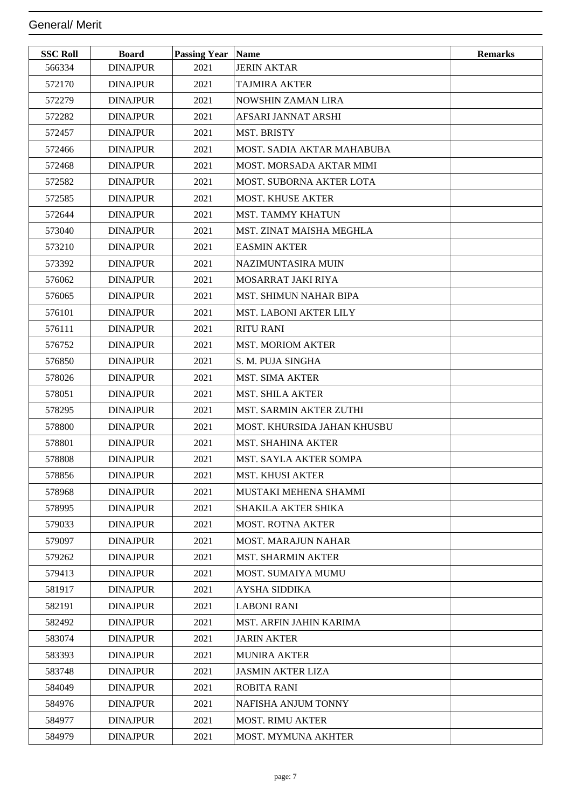| <b>SSC Roll</b> | <b>Board</b>    | <b>Passing Year</b> | <b>Name</b>                       | <b>Remarks</b> |
|-----------------|-----------------|---------------------|-----------------------------------|----------------|
| 566334          | <b>DINAJPUR</b> | 2021                | <b>JERIN AKTAR</b>                |                |
| 572170          | <b>DINAJPUR</b> | 2021                | <b>TAJMIRA AKTER</b>              |                |
| 572279          | <b>DINAJPUR</b> | 2021                | <b>NOWSHIN ZAMAN LIRA</b>         |                |
| 572282          | <b>DINAJPUR</b> | 2021                | AFSARI JANNAT ARSHI               |                |
| 572457          | <b>DINAJPUR</b> | 2021                | <b>MST. BRISTY</b>                |                |
| 572466          | <b>DINAJPUR</b> | 2021                | <b>MOST. SADIA AKTAR MAHABUBA</b> |                |
| 572468          | <b>DINAJPUR</b> | 2021                | <b>MOST. MORSADA AKTAR MIMI</b>   |                |
| 572582          | <b>DINAJPUR</b> | 2021                | MOST. SUBORNA AKTER LOTA          |                |
| 572585          | <b>DINAJPUR</b> | 2021                | <b>MOST. KHUSE AKTER</b>          |                |
| 572644          | <b>DINAJPUR</b> | 2021                | <b>MST. TAMMY KHATUN</b>          |                |
| 573040          | <b>DINAJPUR</b> | 2021                | <b>MST. ZINAT MAISHA MEGHLA</b>   |                |
| 573210          | <b>DINAJPUR</b> | 2021                | <b>EASMIN AKTER</b>               |                |
| 573392          | <b>DINAJPUR</b> | 2021                | NAZIMUNTASIRA MUIN                |                |
| 576062          | <b>DINAJPUR</b> | 2021                | MOSARRAT JAKI RIYA                |                |
| 576065          | <b>DINAJPUR</b> | 2021                | MST. SHIMUN NAHAR BIPA            |                |
| 576101          | <b>DINAJPUR</b> | 2021                | <b>MST. LABONI AKTER LILY</b>     |                |
| 576111          | <b>DINAJPUR</b> | 2021                | <b>RITU RANI</b>                  |                |
| 576752          | <b>DINAJPUR</b> | 2021                | <b>MST. MORIOM AKTER</b>          |                |
| 576850          | <b>DINAJPUR</b> | 2021                | S. M. PUJA SINGHA                 |                |
| 578026          | <b>DINAJPUR</b> | 2021                | <b>MST. SIMA AKTER</b>            |                |
| 578051          | <b>DINAJPUR</b> | 2021                | <b>MST. SHILA AKTER</b>           |                |
| 578295          | <b>DINAJPUR</b> | 2021                | <b>MST. SARMIN AKTER ZUTHI</b>    |                |
| 578800          | <b>DINAJPUR</b> | 2021                | MOST. KHURSIDA JAHAN KHUSBU       |                |
| 578801          | <b>DINAJPUR</b> | 2021                | <b>MST. SHAHINA AKTER</b>         |                |
| 578808          | <b>DINAJPUR</b> | 2021                | <b>MST. SAYLA AKTER SOMPA</b>     |                |
| 578856          | <b>DINAJPUR</b> | 2021                | MST. KHUSI AKTER                  |                |
| 578968          | <b>DINAJPUR</b> | 2021                | MUSTAKI MEHENA SHAMMI             |                |
| 578995          | <b>DINAJPUR</b> | 2021                | SHAKILA AKTER SHIKA               |                |
| 579033          | <b>DINAJPUR</b> | 2021                | <b>MOST. ROTNA AKTER</b>          |                |
| 579097          | <b>DINAJPUR</b> | 2021                | <b>MOST. MARAJUN NAHAR</b>        |                |
| 579262          | <b>DINAJPUR</b> | 2021                | <b>MST. SHARMIN AKTER</b>         |                |
| 579413          | <b>DINAJPUR</b> | 2021                | MOST. SUMAIYA MUMU                |                |
| 581917          | <b>DINAJPUR</b> | 2021                | <b>AYSHA SIDDIKA</b>              |                |
| 582191          | <b>DINAJPUR</b> | 2021                | <b>LABONI RANI</b>                |                |
| 582492          | <b>DINAJPUR</b> | 2021                | MST. ARFIN JAHIN KARIMA           |                |
| 583074          | <b>DINAJPUR</b> | 2021                | <b>JARIN AKTER</b>                |                |
| 583393          | <b>DINAJPUR</b> | 2021                | <b>MUNIRA AKTER</b>               |                |
| 583748          | <b>DINAJPUR</b> | 2021                | <b>JASMIN AKTER LIZA</b>          |                |
| 584049          | <b>DINAJPUR</b> | 2021                | <b>ROBITA RANI</b>                |                |
| 584976          | <b>DINAJPUR</b> | 2021                | NAFISHA ANJUM TONNY               |                |
| 584977          | <b>DINAJPUR</b> | 2021                | <b>MOST. RIMU AKTER</b>           |                |
| 584979          | <b>DINAJPUR</b> | 2021                | MOST. MYMUNA AKHTER               |                |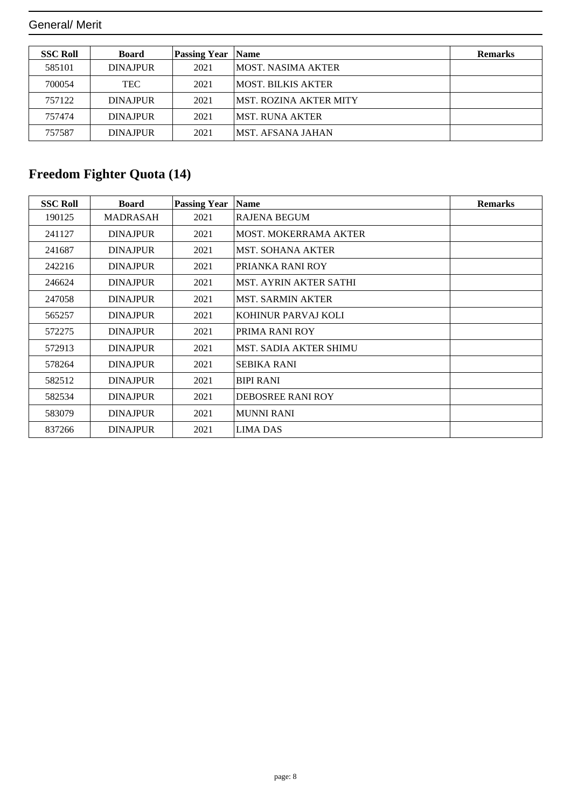| <b>SSC Roll</b> | <b>Board</b>    | <b>Passing Year</b> | <b>Name</b>                    | <b>Remarks</b> |
|-----------------|-----------------|---------------------|--------------------------------|----------------|
| 585101          | <b>DINAJPUR</b> | 2021                | IMOST. NASIMA AKTER            |                |
| 700054          | <b>TEC</b>      | 2021                | IMOST. BILKIS AKTER            |                |
| 757122          | <b>DINAJPUR</b> | 2021                | <b>IMST. ROZINA AKTER MITY</b> |                |
| 757474          | <b>DINAJPUR</b> | 2021                | IMST. RUNA AKTER               |                |
| 757587          | <b>DINAJPUR</b> | 2021                | <b>IMST. AFSANA JAHAN</b>      |                |

## **Freedom Fighter Quota (14)**

| <b>SSC Roll</b> | <b>Board</b>    | <b>Passing Year</b> | <b>Name</b>                   | <b>Remarks</b> |
|-----------------|-----------------|---------------------|-------------------------------|----------------|
| 190125          | MADRASAH        | 2021                | <b>RAJENA BEGUM</b>           |                |
| 241127          | <b>DINAJPUR</b> | 2021                | <b>MOST. MOKERRAMA AKTER</b>  |                |
| 241687          | <b>DINAJPUR</b> | 2021                | <b>MST. SOHANA AKTER</b>      |                |
| 242216          | <b>DINAJPUR</b> | 2021                | PRIANKA RANI ROY              |                |
| 246624          | <b>DINAJPUR</b> | 2021                | <b>MST. AYRIN AKTER SATHI</b> |                |
| 247058          | <b>DINAJPUR</b> | 2021                | <b>MST. SARMIN AKTER</b>      |                |
| 565257          | <b>DINAJPUR</b> | 2021                | KOHINUR PARVAJ KOLI           |                |
| 572275          | <b>DINAJPUR</b> | 2021                | PRIMA RANI ROY                |                |
| 572913          | <b>DINAJPUR</b> | 2021                | <b>MST. SADIA AKTER SHIMU</b> |                |
| 578264          | <b>DINAJPUR</b> | 2021                | <b>SEBIKA RANI</b>            |                |
| 582512          | <b>DINAJPUR</b> | 2021                | <b>BIPI RANI</b>              |                |
| 582534          | <b>DINAJPUR</b> | 2021                | DEBOSREE RANI ROY             |                |
| 583079          | <b>DINAJPUR</b> | 2021                | MUNNI RANI                    |                |
| 837266          | <b>DINAJPUR</b> | 2021                | <b>LIMA DAS</b>               |                |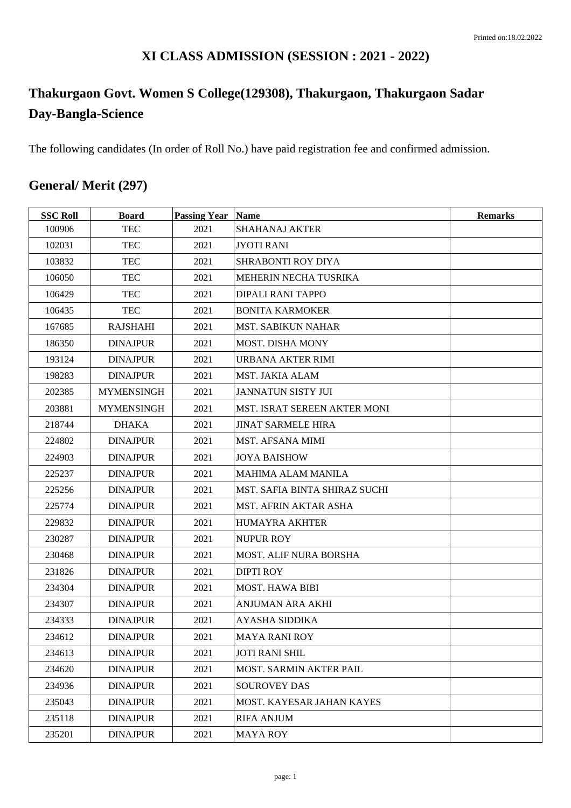### **XI CLASS ADMISSION (SESSION : 2021 - 2022)**

# **Thakurgaon Govt. Women S College(129308), Thakurgaon, Thakurgaon Sadar Day-Bangla-Science**

The following candidates (In order of Roll No.) have paid registration fee and confirmed admission.

## **General/ Merit (297)**

| <b>SSC Roll</b> | <b>Board</b>      | <b>Passing Year Name</b> |                                      | <b>Remarks</b> |
|-----------------|-------------------|--------------------------|--------------------------------------|----------------|
| 100906          | <b>TEC</b>        | 2021                     | <b>SHAHANAJ AKTER</b>                |                |
| 102031          | <b>TEC</b>        | 2021                     | <b>JYOTI RANI</b>                    |                |
| 103832          | <b>TEC</b>        | 2021                     | <b>SHRABONTI ROY DIYA</b>            |                |
| 106050          | <b>TEC</b>        | 2021                     | MEHERIN NECHA TUSRIKA                |                |
| 106429          | <b>TEC</b>        | 2021                     | <b>DIPALI RANI TAPPO</b>             |                |
| 106435          | <b>TEC</b>        | 2021                     | <b>BONITA KARMOKER</b>               |                |
| 167685          | <b>RAJSHAHI</b>   | 2021                     | <b>MST. SABIKUN NAHAR</b>            |                |
| 186350          | <b>DINAJPUR</b>   | 2021                     | <b>MOST. DISHA MONY</b>              |                |
| 193124          | <b>DINAJPUR</b>   | 2021                     | URBANA AKTER RIMI                    |                |
| 198283          | <b>DINAJPUR</b>   | 2021                     | <b>MST. JAKIA ALAM</b>               |                |
| 202385          | <b>MYMENSINGH</b> | 2021                     | <b>JANNATUN SISTY JUI</b>            |                |
| 203881          | <b>MYMENSINGH</b> | 2021                     | MST. ISRAT SEREEN AKTER MONI         |                |
| 218744          | <b>DHAKA</b>      | 2021                     | <b>JINAT SARMELE HIRA</b>            |                |
| 224802          | <b>DINAJPUR</b>   | 2021                     | MST. AFSANA MIMI                     |                |
| 224903          | <b>DINAJPUR</b>   | 2021                     | <b>JOYA BAISHOW</b>                  |                |
| 225237          | <b>DINAJPUR</b>   | 2021                     | <b>MAHIMA ALAM MANILA</b>            |                |
| 225256          | <b>DINAJPUR</b>   | 2021                     | <b>MST. SAFIA BINTA SHIRAZ SUCHI</b> |                |
| 225774          | <b>DINAJPUR</b>   | 2021                     | <b>MST. AFRIN AKTAR ASHA</b>         |                |
| 229832          | <b>DINAJPUR</b>   | 2021                     | <b>HUMAYRA AKHTER</b>                |                |
| 230287          | <b>DINAJPUR</b>   | 2021                     | <b>NUPUR ROY</b>                     |                |
| 230468          | <b>DINAJPUR</b>   | 2021                     | <b>MOST. ALIF NURA BORSHA</b>        |                |
| 231826          | <b>DINAJPUR</b>   | 2021                     | <b>DIPTI ROY</b>                     |                |
| 234304          | <b>DINAJPUR</b>   | 2021                     | <b>MOST. HAWA BIBI</b>               |                |
| 234307          | <b>DINAJPUR</b>   | 2021                     | ANJUMAN ARA AKHI                     |                |
| 234333          | <b>DINAJPUR</b>   | 2021                     | <b>AYASHA SIDDIKA</b>                |                |
| 234612          | <b>DINAJPUR</b>   | 2021                     | <b>MAYA RANI ROY</b>                 |                |
| 234613          | <b>DINAJPUR</b>   | 2021                     | <b>JOTI RANI SHIL</b>                |                |
| 234620          | <b>DINAJPUR</b>   | 2021                     | <b>MOST. SARMIN AKTER PAIL</b>       |                |
| 234936          | <b>DINAJPUR</b>   | 2021                     | <b>SOUROVEY DAS</b>                  |                |
| 235043          | <b>DINAJPUR</b>   | 2021                     | MOST. KAYESAR JAHAN KAYES            |                |
| 235118          | <b>DINAJPUR</b>   | 2021                     | <b>RIFA ANJUM</b>                    |                |
| 235201          | <b>DINAJPUR</b>   | 2021                     | <b>MAYA ROY</b>                      |                |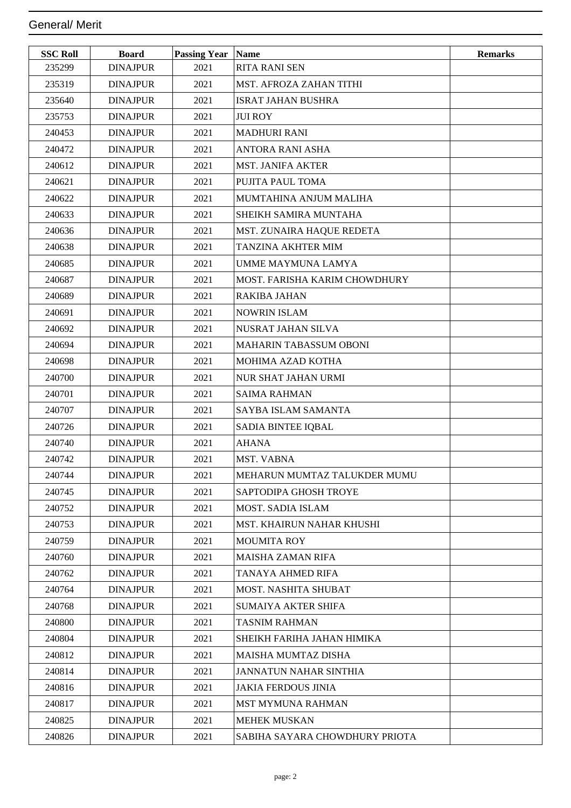| <b>SSC Roll</b> | <b>Board</b>    | <b>Passing Year</b> | <b>Name</b>                    | <b>Remarks</b> |
|-----------------|-----------------|---------------------|--------------------------------|----------------|
| 235299          | <b>DINAJPUR</b> | 2021                | <b>RITA RANI SEN</b>           |                |
| 235319          | <b>DINAJPUR</b> | 2021                | <b>MST. AFROZA ZAHAN TITHI</b> |                |
| 235640          | <b>DINAJPUR</b> | 2021                | <b>ISRAT JAHAN BUSHRA</b>      |                |
| 235753          | <b>DINAJPUR</b> | 2021                | <b>JUI ROY</b>                 |                |
| 240453          | <b>DINAJPUR</b> | 2021                | <b>MADHURI RANI</b>            |                |
| 240472          | <b>DINAJPUR</b> | 2021                | <b>ANTORA RANI ASHA</b>        |                |
| 240612          | <b>DINAJPUR</b> | 2021                | <b>MST. JANIFA AKTER</b>       |                |
| 240621          | <b>DINAJPUR</b> | 2021                | PUJITA PAUL TOMA               |                |
| 240622          | <b>DINAJPUR</b> | 2021                | MUMTAHINA ANJUM MALIHA         |                |
| 240633          | <b>DINAJPUR</b> | 2021                | SHEIKH SAMIRA MUNTAHA          |                |
| 240636          | <b>DINAJPUR</b> | 2021                | MST. ZUNAIRA HAQUE REDETA      |                |
| 240638          | <b>DINAJPUR</b> | 2021                | TANZINA AKHTER MIM             |                |
| 240685          | <b>DINAJPUR</b> | 2021                | <b>UMME MAYMUNA LAMYA</b>      |                |
| 240687          | <b>DINAJPUR</b> | 2021                | MOST. FARISHA KARIM CHOWDHURY  |                |
| 240689          | <b>DINAJPUR</b> | 2021                | <b>RAKIBA JAHAN</b>            |                |
| 240691          | <b>DINAJPUR</b> | 2021                | <b>NOWRIN ISLAM</b>            |                |
| 240692          | <b>DINAJPUR</b> | 2021                | NUSRAT JAHAN SILVA             |                |
| 240694          | <b>DINAJPUR</b> | 2021                | <b>MAHARIN TABASSUM OBONI</b>  |                |
| 240698          | <b>DINAJPUR</b> | 2021                | MOHIMA AZAD KOTHA              |                |
| 240700          | <b>DINAJPUR</b> | 2021                | NUR SHAT JAHAN URMI            |                |
| 240701          | <b>DINAJPUR</b> | 2021                | <b>SAIMA RAHMAN</b>            |                |
| 240707          | <b>DINAJPUR</b> | 2021                | SAYBA ISLAM SAMANTA            |                |
| 240726          | <b>DINAJPUR</b> | 2021                | SADIA BINTEE IQBAL             |                |
| 240740          | <b>DINAJPUR</b> | 2021                | <b>AHANA</b>                   |                |
| 240742          | <b>DINAJPUR</b> | 2021                | MST. VABNA                     |                |
| 240744          | <b>DINAJPUR</b> | 2021                | MEHARUN MUMTAZ TALUKDER MUMU   |                |
| 240745          | <b>DINAJPUR</b> | 2021                | SAPTODIPA GHOSH TROYE          |                |
| 240752          | <b>DINAJPUR</b> | 2021                | <b>MOST. SADIA ISLAM</b>       |                |
| 240753          | <b>DINAJPUR</b> | 2021                | MST. KHAIRUN NAHAR KHUSHI      |                |
| 240759          | <b>DINAJPUR</b> | 2021                | <b>MOUMITA ROY</b>             |                |
| 240760          | <b>DINAJPUR</b> | 2021                | <b>MAISHA ZAMAN RIFA</b>       |                |
| 240762          | <b>DINAJPUR</b> | 2021                | TANAYA AHMED RIFA              |                |
| 240764          | <b>DINAJPUR</b> | 2021                | MOST. NASHITA SHUBAT           |                |
| 240768          | <b>DINAJPUR</b> | 2021                | <b>SUMAIYA AKTER SHIFA</b>     |                |
| 240800          | <b>DINAJPUR</b> | 2021                | <b>TASNIM RAHMAN</b>           |                |
| 240804          | <b>DINAJPUR</b> | 2021                | SHEIKH FARIHA JAHAN HIMIKA     |                |
| 240812          | <b>DINAJPUR</b> | 2021                | <b>MAISHA MUMTAZ DISHA</b>     |                |
| 240814          | <b>DINAJPUR</b> | 2021                | <b>JANNATUN NAHAR SINTHIA</b>  |                |
| 240816          | <b>DINAJPUR</b> | 2021                | <b>JAKIA FERDOUS JINIA</b>     |                |
| 240817          | <b>DINAJPUR</b> | 2021                | <b>MST MYMUNA RAHMAN</b>       |                |
| 240825          | <b>DINAJPUR</b> | 2021                | <b>MEHEK MUSKAN</b>            |                |
| 240826          | <b>DINAJPUR</b> | 2021                | SABIHA SAYARA CHOWDHURY PRIOTA |                |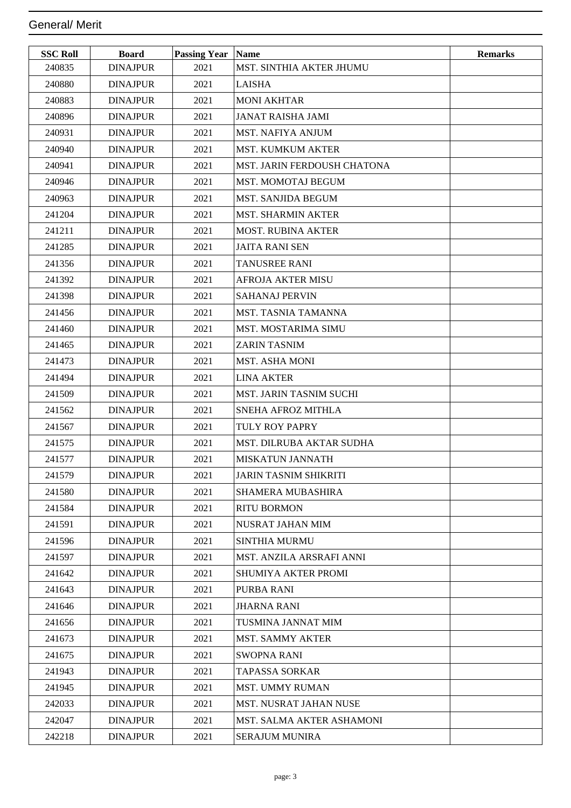| <b>SSC Roll</b> | <b>Board</b>    | <b>Passing Year   Name</b> |                                  | <b>Remarks</b> |
|-----------------|-----------------|----------------------------|----------------------------------|----------------|
| 240835          | <b>DINAJPUR</b> | 2021                       | MST. SINTHIA AKTER JHUMU         |                |
| 240880          | <b>DINAJPUR</b> | 2021                       | <b>LAISHA</b>                    |                |
| 240883          | <b>DINAJPUR</b> | 2021                       | <b>MONI AKHTAR</b>               |                |
| 240896          | <b>DINAJPUR</b> | 2021                       | <b>JANAT RAISHA JAMI</b>         |                |
| 240931          | <b>DINAJPUR</b> | 2021                       | <b>MST. NAFIYA ANJUM</b>         |                |
| 240940          | <b>DINAJPUR</b> | 2021                       | <b>MST. KUMKUM AKTER</b>         |                |
| 240941          | <b>DINAJPUR</b> | 2021                       | MST. JARIN FERDOUSH CHATONA      |                |
| 240946          | <b>DINAJPUR</b> | 2021                       | <b>MST. MOMOTAJ BEGUM</b>        |                |
| 240963          | <b>DINAJPUR</b> | 2021                       | <b>MST. SANJIDA BEGUM</b>        |                |
| 241204          | <b>DINAJPUR</b> | 2021                       | <b>MST. SHARMIN AKTER</b>        |                |
| 241211          | <b>DINAJPUR</b> | 2021                       | <b>MOST. RUBINA AKTER</b>        |                |
| 241285          | <b>DINAJPUR</b> | 2021                       | <b>JAITA RANI SEN</b>            |                |
| 241356          | <b>DINAJPUR</b> | 2021                       | <b>TANUSREE RANI</b>             |                |
| 241392          | <b>DINAJPUR</b> | 2021                       | <b>AFROJA AKTER MISU</b>         |                |
| 241398          | <b>DINAJPUR</b> | 2021                       | <b>SAHANAJ PERVIN</b>            |                |
| 241456          | <b>DINAJPUR</b> | 2021                       | <b>MST. TASNIA TAMANNA</b>       |                |
| 241460          | <b>DINAJPUR</b> | 2021                       | <b>MST. MOSTARIMA SIMU</b>       |                |
| 241465          | <b>DINAJPUR</b> | 2021                       | <b>ZARIN TASNIM</b>              |                |
| 241473          | <b>DINAJPUR</b> | 2021                       | <b>MST. ASHA MONI</b>            |                |
| 241494          | <b>DINAJPUR</b> | 2021                       | <b>LINA AKTER</b>                |                |
| 241509          | <b>DINAJPUR</b> | 2021                       | <b>MST. JARIN TASNIM SUCHI</b>   |                |
| 241562          | <b>DINAJPUR</b> | 2021                       | SNEHA AFROZ MITHLA               |                |
| 241567          | <b>DINAJPUR</b> | 2021                       | TULY ROY PAPRY                   |                |
| 241575          | <b>DINAJPUR</b> | 2021                       | MST. DILRUBA AKTAR SUDHA         |                |
| 241577          | <b>DINAJPUR</b> | 2021                       | <b>MISKATUN JANNATH</b>          |                |
| 241579          | <b>DINAJPUR</b> | 2021                       | JARIN TASNIM SHIKRITI            |                |
| 241580          | <b>DINAJPUR</b> | 2021                       | <b>SHAMERA MUBASHIRA</b>         |                |
| 241584          | <b>DINAJPUR</b> | 2021                       | <b>RITU BORMON</b>               |                |
| 241591          | <b>DINAJPUR</b> | 2021                       | NUSRAT JAHAN MIM                 |                |
| 241596          | <b>DINAJPUR</b> | 2021                       | <b>SINTHIA MURMU</b>             |                |
| 241597          | <b>DINAJPUR</b> | 2021                       | MST. ANZILA ARSRAFI ANNI         |                |
| 241642          | <b>DINAJPUR</b> | 2021                       | SHUMIYA AKTER PROMI              |                |
| 241643          | <b>DINAJPUR</b> | 2021                       | PURBA RANI                       |                |
| 241646          | <b>DINAJPUR</b> | 2021                       | <b>JHARNA RANI</b>               |                |
| 241656          | <b>DINAJPUR</b> | 2021                       | TUSMINA JANNAT MIM               |                |
| 241673          | <b>DINAJPUR</b> | 2021                       | <b>MST. SAMMY AKTER</b>          |                |
| 241675          | <b>DINAJPUR</b> | 2021                       | <b>SWOPNA RANI</b>               |                |
| 241943          | <b>DINAJPUR</b> | 2021                       | TAPASSA SORKAR                   |                |
| 241945          | <b>DINAJPUR</b> | 2021                       | <b>MST. UMMY RUMAN</b>           |                |
| 242033          | <b>DINAJPUR</b> | 2021                       | MST. NUSRAT JAHAN NUSE           |                |
| 242047          | <b>DINAJPUR</b> | 2021                       | <b>MST. SALMA AKTER ASHAMONI</b> |                |
| 242218          | <b>DINAJPUR</b> | 2021                       | <b>SERAJUM MUNIRA</b>            |                |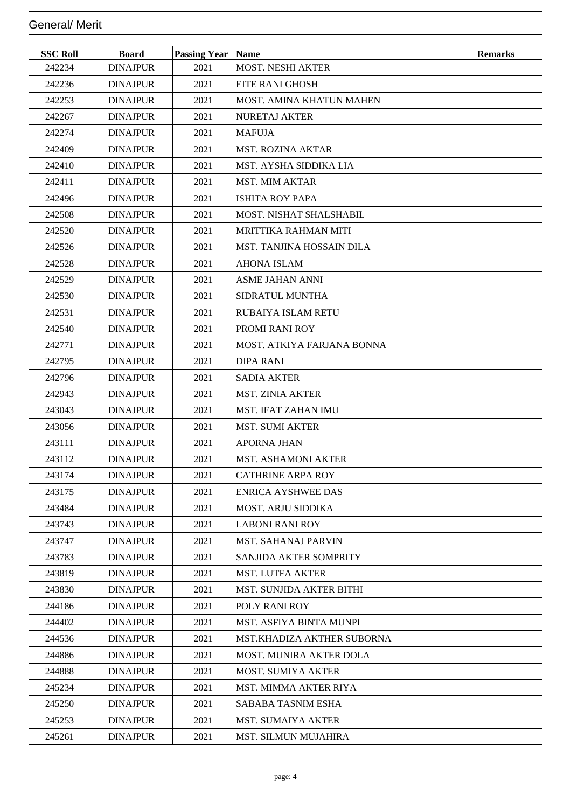| <b>SSC Roll</b> | <b>Board</b>    | <b>Passing Year Name</b> |                                 | <b>Remarks</b> |
|-----------------|-----------------|--------------------------|---------------------------------|----------------|
| 242234          | <b>DINAJPUR</b> | 2021                     | <b>MOST. NESHI AKTER</b>        |                |
| 242236          | <b>DINAJPUR</b> | 2021                     | <b>EITE RANI GHOSH</b>          |                |
| 242253          | <b>DINAJPUR</b> | 2021                     | MOST. AMINA KHATUN MAHEN        |                |
| 242267          | <b>DINAJPUR</b> | 2021                     | <b>NURETAJ AKTER</b>            |                |
| 242274          | <b>DINAJPUR</b> | 2021                     | <b>MAFUJA</b>                   |                |
| 242409          | <b>DINAJPUR</b> | 2021                     | <b>MST. ROZINA AKTAR</b>        |                |
| 242410          | <b>DINAJPUR</b> | 2021                     | MST. AYSHA SIDDIKA LIA          |                |
| 242411          | <b>DINAJPUR</b> | 2021                     | <b>MST. MIM AKTAR</b>           |                |
| 242496          | <b>DINAJPUR</b> | 2021                     | <b>ISHITA ROY PAPA</b>          |                |
| 242508          | <b>DINAJPUR</b> | 2021                     | MOST. NISHAT SHALSHABIL         |                |
| 242520          | <b>DINAJPUR</b> | 2021                     | <b>MRITTIKA RAHMAN MITI</b>     |                |
| 242526          | <b>DINAJPUR</b> | 2021                     | MST. TANJINA HOSSAIN DILA       |                |
| 242528          | <b>DINAJPUR</b> | 2021                     | <b>AHONA ISLAM</b>              |                |
| 242529          | <b>DINAJPUR</b> | 2021                     | <b>ASME JAHAN ANNI</b>          |                |
| 242530          | <b>DINAJPUR</b> | 2021                     | SIDRATUL MUNTHA                 |                |
| 242531          | <b>DINAJPUR</b> | 2021                     | RUBAIYA ISLAM RETU              |                |
| 242540          | <b>DINAJPUR</b> | 2021                     | <b>PROMI RANI ROY</b>           |                |
| 242771          | <b>DINAJPUR</b> | 2021                     | MOST. ATKIYA FARJANA BONNA      |                |
| 242795          | <b>DINAJPUR</b> | 2021                     | <b>DIPA RANI</b>                |                |
| 242796          | <b>DINAJPUR</b> | 2021                     | <b>SADIA AKTER</b>              |                |
| 242943          | <b>DINAJPUR</b> | 2021                     | <b>MST. ZINIA AKTER</b>         |                |
| 243043          | <b>DINAJPUR</b> | 2021                     | MST. IFAT ZAHAN IMU             |                |
| 243056          | <b>DINAJPUR</b> | 2021                     | <b>MST. SUMI AKTER</b>          |                |
| 243111          | <b>DINAJPUR</b> | 2021                     | <b>APORNA JHAN</b>              |                |
| 243112          | <b>DINAJPUR</b> | 2021                     | MST. ASHAMONI AKTER             |                |
| 243174          | <b>DINAJPUR</b> | 2021                     | <b>CATHRINE ARPA ROY</b>        |                |
| 243175          | <b>DINAJPUR</b> | 2021                     | <b>ENRICA AYSHWEE DAS</b>       |                |
| 243484          | <b>DINAJPUR</b> | 2021                     | <b>MOST. ARJU SIDDIKA</b>       |                |
| 243743          | <b>DINAJPUR</b> | 2021                     | LABONI RANI ROY                 |                |
| 243747          | <b>DINAJPUR</b> | 2021                     | <b>MST. SAHANAJ PARVIN</b>      |                |
| 243783          | <b>DINAJPUR</b> | 2021                     | SANJIDA AKTER SOMPRITY          |                |
| 243819          | <b>DINAJPUR</b> | 2021                     | <b>MST. LUTFA AKTER</b>         |                |
| 243830          | <b>DINAJPUR</b> | 2021                     | <b>MST. SUNJIDA AKTER BITHI</b> |                |
| 244186          | <b>DINAJPUR</b> | 2021                     | <b>POLY RANI ROY</b>            |                |
| 244402          | <b>DINAJPUR</b> | 2021                     | MST. ASFIYA BINTA MUNPI         |                |
| 244536          | <b>DINAJPUR</b> | 2021                     | MST.KHADIZA AKTHER SUBORNA      |                |
| 244886          | <b>DINAJPUR</b> | 2021                     | <b>MOST. MUNIRA AKTER DOLA</b>  |                |
| 244888          | <b>DINAJPUR</b> | 2021                     | <b>MOST. SUMIYA AKTER</b>       |                |
| 245234          | <b>DINAJPUR</b> | 2021                     | MST. MIMMA AKTER RIYA           |                |
| 245250          | <b>DINAJPUR</b> | 2021                     | SABABA TASNIM ESHA              |                |
| 245253          | <b>DINAJPUR</b> | 2021                     | <b>MST. SUMAIYA AKTER</b>       |                |
| 245261          | <b>DINAJPUR</b> | 2021                     | MST. SILMUN MUJAHIRA            |                |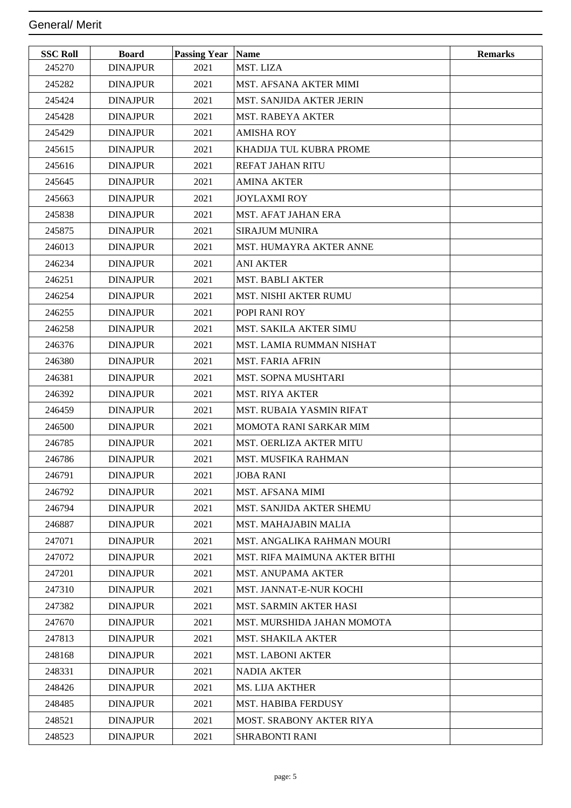| <b>SSC Roll</b> | <b>Board</b>    | <b>Passing Year</b> | Name                            | <b>Remarks</b> |
|-----------------|-----------------|---------------------|---------------------------------|----------------|
| 245270          | <b>DINAJPUR</b> | 2021                | MST. LIZA                       |                |
| 245282          | <b>DINAJPUR</b> | 2021                | <b>MST. AFSANA AKTER MIMI</b>   |                |
| 245424          | <b>DINAJPUR</b> | 2021                | MST. SANJIDA AKTER JERIN        |                |
| 245428          | <b>DINAJPUR</b> | 2021                | <b>MST. RABEYA AKTER</b>        |                |
| 245429          | <b>DINAJPUR</b> | 2021                | <b>AMISHA ROY</b>               |                |
| 245615          | <b>DINAJPUR</b> | 2021                | KHADIJA TUL KUBRA PROME         |                |
| 245616          | <b>DINAJPUR</b> | 2021                | <b>REFAT JAHAN RITU</b>         |                |
| 245645          | <b>DINAJPUR</b> | 2021                | <b>AMINA AKTER</b>              |                |
| 245663          | <b>DINAJPUR</b> | 2021                | <b>JOYLAXMI ROY</b>             |                |
| 245838          | <b>DINAJPUR</b> | 2021                | <b>MST. AFAT JAHAN ERA</b>      |                |
| 245875          | <b>DINAJPUR</b> | 2021                | <b>SIRAJUM MUNIRA</b>           |                |
| 246013          | <b>DINAJPUR</b> | 2021                | MST. HUMAYRA AKTER ANNE         |                |
| 246234          | <b>DINAJPUR</b> | 2021                | <b>ANI AKTER</b>                |                |
| 246251          | <b>DINAJPUR</b> | 2021                | <b>MST. BABLI AKTER</b>         |                |
| 246254          | <b>DINAJPUR</b> | 2021                | MST. NISHI AKTER RUMU           |                |
| 246255          | <b>DINAJPUR</b> | 2021                | POPI RANI ROY                   |                |
| 246258          | <b>DINAJPUR</b> | 2021                | <b>MST. SAKILA AKTER SIMU</b>   |                |
| 246376          | <b>DINAJPUR</b> | 2021                | MST. LAMIA RUMMAN NISHAT        |                |
| 246380          | <b>DINAJPUR</b> | 2021                | <b>MST. FARIA AFRIN</b>         |                |
| 246381          | <b>DINAJPUR</b> | 2021                | <b>MST. SOPNA MUSHTARI</b>      |                |
| 246392          | <b>DINAJPUR</b> | 2021                | <b>MST. RIYA AKTER</b>          |                |
| 246459          | <b>DINAJPUR</b> | 2021                | <b>MST. RUBAIA YASMIN RIFAT</b> |                |
| 246500          | <b>DINAJPUR</b> | 2021                | <b>MOMOTA RANI SARKAR MIM</b>   |                |
| 246785          | <b>DINAJPUR</b> | 2021                | MST. OERLIZA AKTER MITU         |                |
| 246786          | <b>DINAJPUR</b> | 2021                | <b>MST. MUSFIKA RAHMAN</b>      |                |
| 246791          | <b>DINAJPUR</b> | 2021                | <b>JOBA RANI</b>                |                |
| 246792          | <b>DINAJPUR</b> | 2021                | <b>MST. AFSANA MIMI</b>         |                |
| 246794          | <b>DINAJPUR</b> | 2021                | <b>MST. SANJIDA AKTER SHEMU</b> |                |
| 246887          | <b>DINAJPUR</b> | 2021                | <b>MST. MAHAJABIN MALIA</b>     |                |
| 247071          | <b>DINAJPUR</b> | 2021                | MST. ANGALIKA RAHMAN MOURI      |                |
| 247072          | <b>DINAJPUR</b> | 2021                | MST. RIFA MAIMUNA AKTER BITHI   |                |
| 247201          | <b>DINAJPUR</b> | 2021                | <b>MST. ANUPAMA AKTER</b>       |                |
| 247310          | <b>DINAJPUR</b> | 2021                | MST. JANNAT-E-NUR KOCHI         |                |
| 247382          | <b>DINAJPUR</b> | 2021                | <b>MST. SARMIN AKTER HASI</b>   |                |
| 247670          | <b>DINAJPUR</b> | 2021                | MST. MURSHIDA JAHAN MOMOTA      |                |
| 247813          | <b>DINAJPUR</b> | 2021                | <b>MST. SHAKILA AKTER</b>       |                |
| 248168          | <b>DINAJPUR</b> | 2021                | <b>MST. LABONI AKTER</b>        |                |
| 248331          | <b>DINAJPUR</b> | 2021                | <b>NADIA AKTER</b>              |                |
| 248426          | <b>DINAJPUR</b> | 2021                | <b>MS. LIJA AKTHER</b>          |                |
| 248485          | <b>DINAJPUR</b> | 2021                | <b>MST. HABIBA FERDUSY</b>      |                |
| 248521          | <b>DINAJPUR</b> | 2021                | <b>MOST. SRABONY AKTER RIYA</b> |                |
| 248523          | <b>DINAJPUR</b> | 2021                | SHRABONTI RANI                  |                |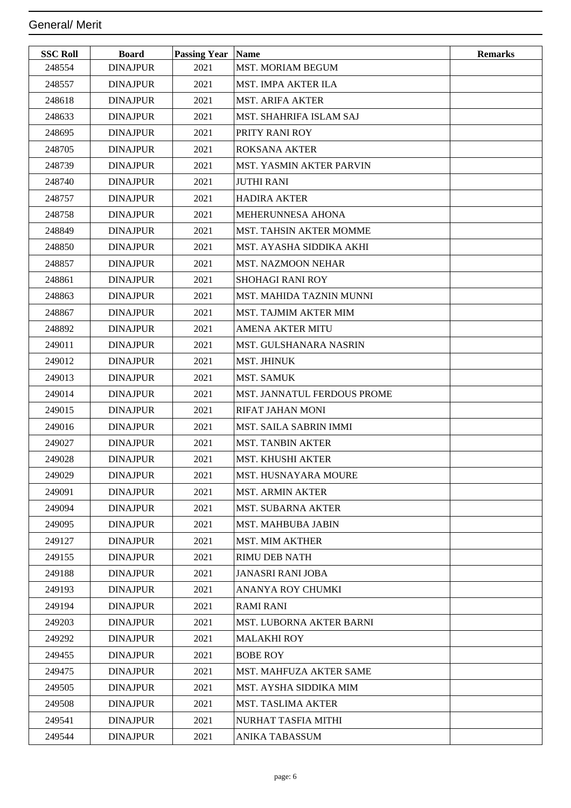| <b>SSC Roll</b> | <b>Board</b>    | <b>Passing Year Name</b> |                                 | <b>Remarks</b> |
|-----------------|-----------------|--------------------------|---------------------------------|----------------|
| 248554          | <b>DINAJPUR</b> | 2021                     | MST. MORIAM BEGUM               |                |
| 248557          | <b>DINAJPUR</b> | 2021                     | MST. IMPA AKTER ILA             |                |
| 248618          | <b>DINAJPUR</b> | 2021                     | <b>MST. ARIFA AKTER</b>         |                |
| 248633          | <b>DINAJPUR</b> | 2021                     | <b>MST. SHAHRIFA ISLAM SAJ</b>  |                |
| 248695          | <b>DINAJPUR</b> | 2021                     | <b>PRITY RANI ROY</b>           |                |
| 248705          | <b>DINAJPUR</b> | 2021                     | <b>ROKSANA AKTER</b>            |                |
| 248739          | <b>DINAJPUR</b> | 2021                     | <b>MST. YASMIN AKTER PARVIN</b> |                |
| 248740          | <b>DINAJPUR</b> | 2021                     | <b>JUTHI RANI</b>               |                |
| 248757          | <b>DINAJPUR</b> | 2021                     | <b>HADIRA AKTER</b>             |                |
| 248758          | <b>DINAJPUR</b> | 2021                     | <b>MEHERUNNESA AHONA</b>        |                |
| 248849          | <b>DINAJPUR</b> | 2021                     | <b>MST. TAHSIN AKTER MOMME</b>  |                |
| 248850          | <b>DINAJPUR</b> | 2021                     | MST. AYASHA SIDDIKA AKHI        |                |
| 248857          | <b>DINAJPUR</b> | 2021                     | <b>MST. NAZMOON NEHAR</b>       |                |
| 248861          | <b>DINAJPUR</b> | 2021                     | <b>SHOHAGI RANI ROY</b>         |                |
| 248863          | <b>DINAJPUR</b> | 2021                     | MST. MAHIDA TAZNIN MUNNI        |                |
| 248867          | <b>DINAJPUR</b> | 2021                     | <b>MST. TAJMIM AKTER MIM</b>    |                |
| 248892          | <b>DINAJPUR</b> | 2021                     | <b>AMENA AKTER MITU</b>         |                |
| 249011          | <b>DINAJPUR</b> | 2021                     | MST. GULSHANARA NASRIN          |                |
| 249012          | <b>DINAJPUR</b> | 2021                     | <b>MST. JHINUK</b>              |                |
| 249013          | <b>DINAJPUR</b> | 2021                     | <b>MST. SAMUK</b>               |                |
| 249014          | <b>DINAJPUR</b> | 2021                     | MST. JANNATUL FERDOUS PROME     |                |
| 249015          | <b>DINAJPUR</b> | 2021                     | <b>RIFAT JAHAN MONI</b>         |                |
| 249016          | <b>DINAJPUR</b> | 2021                     | <b>MST. SAILA SABRIN IMMI</b>   |                |
| 249027          | <b>DINAJPUR</b> | 2021                     | <b>MST. TANBIN AKTER</b>        |                |
| 249028          | <b>DINAJPUR</b> | 2021                     | <b>MST. KHUSHI AKTER</b>        |                |
| 249029          | <b>DINAJPUR</b> | 2021                     | MST. HUSNAYARA MOURE            |                |
| 249091          | <b>DINAJPUR</b> | 2021                     | <b>MST. ARMIN AKTER</b>         |                |
| 249094          | <b>DINAJPUR</b> | 2021                     | <b>MST. SUBARNA AKTER</b>       |                |
| 249095          | <b>DINAJPUR</b> | 2021                     | <b>MST. MAHBUBA JABIN</b>       |                |
| 249127          | <b>DINAJPUR</b> | 2021                     | <b>MST. MIM AKTHER</b>          |                |
| 249155          | <b>DINAJPUR</b> | 2021                     | <b>RIMU DEB NATH</b>            |                |
| 249188          | <b>DINAJPUR</b> | 2021                     | <b>JANASRI RANI JOBA</b>        |                |
| 249193          | <b>DINAJPUR</b> | 2021                     | ANANYA ROY CHUMKI               |                |
| 249194          | <b>DINAJPUR</b> | 2021                     | <b>RAMI RANI</b>                |                |
| 249203          | <b>DINAJPUR</b> | 2021                     | MST. LUBORNA AKTER BARNI        |                |
| 249292          | <b>DINAJPUR</b> | 2021                     | <b>MALAKHI ROY</b>              |                |
| 249455          | <b>DINAJPUR</b> | 2021                     | <b>BOBE ROY</b>                 |                |
| 249475          | <b>DINAJPUR</b> | 2021                     | MST. MAHFUZA AKTER SAME         |                |
| 249505          | <b>DINAJPUR</b> | 2021                     | MST. AYSHA SIDDIKA MIM          |                |
| 249508          | <b>DINAJPUR</b> | 2021                     | <b>MST. TASLIMA AKTER</b>       |                |
| 249541          | <b>DINAJPUR</b> | 2021                     | NURHAT TASFIA MITHI             |                |
| 249544          | <b>DINAJPUR</b> | 2021                     | ANIKA TABASSUM                  |                |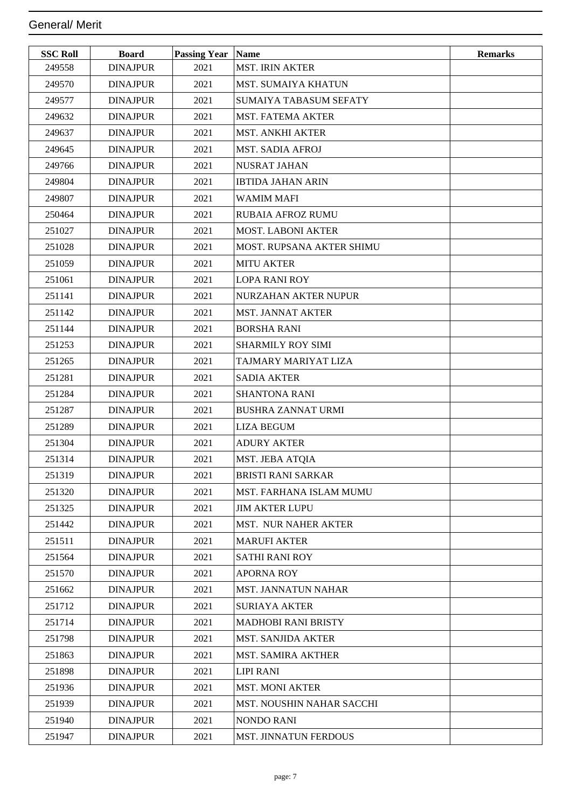| <b>SSC Roll</b> | <b>Board</b>    | <b>Passing Year Name</b> |                                | <b>Remarks</b> |
|-----------------|-----------------|--------------------------|--------------------------------|----------------|
| 249558          | <b>DINAJPUR</b> | 2021                     | <b>MST. IRIN AKTER</b>         |                |
| 249570          | <b>DINAJPUR</b> | 2021                     | MST. SUMAIYA KHATUN            |                |
| 249577          | <b>DINAJPUR</b> | 2021                     | <b>SUMAIYA TABASUM SEFATY</b>  |                |
| 249632          | <b>DINAJPUR</b> | 2021                     | MST. FATEMA AKTER              |                |
| 249637          | <b>DINAJPUR</b> | 2021                     | <b>MST. ANKHI AKTER</b>        |                |
| 249645          | <b>DINAJPUR</b> | 2021                     | <b>MST. SADIA AFROJ</b>        |                |
| 249766          | <b>DINAJPUR</b> | 2021                     | <b>NUSRAT JAHAN</b>            |                |
| 249804          | <b>DINAJPUR</b> | 2021                     | <b>IBTIDA JAHAN ARIN</b>       |                |
| 249807          | <b>DINAJPUR</b> | 2021                     | <b>WAMIM MAFI</b>              |                |
| 250464          | <b>DINAJPUR</b> | 2021                     | <b>RUBAIA AFROZ RUMU</b>       |                |
| 251027          | <b>DINAJPUR</b> | 2021                     | <b>MOST. LABONI AKTER</b>      |                |
| 251028          | <b>DINAJPUR</b> | 2021                     | MOST. RUPSANA AKTER SHIMU      |                |
| 251059          | <b>DINAJPUR</b> | 2021                     | <b>MITU AKTER</b>              |                |
| 251061          | <b>DINAJPUR</b> | 2021                     | LOPA RANI ROY                  |                |
| 251141          | <b>DINAJPUR</b> | 2021                     | NURZAHAN AKTER NUPUR           |                |
| 251142          | <b>DINAJPUR</b> | 2021                     | MST. JANNAT AKTER              |                |
| 251144          | <b>DINAJPUR</b> | 2021                     | BORSHA RANI                    |                |
| 251253          | <b>DINAJPUR</b> | 2021                     | SHARMILY ROY SIMI              |                |
| 251265          | <b>DINAJPUR</b> | 2021                     | TAJMARY MARIYAT LIZA           |                |
| 251281          | <b>DINAJPUR</b> | 2021                     | <b>SADIA AKTER</b>             |                |
| 251284          | <b>DINAJPUR</b> | 2021                     | <b>SHANTONA RANI</b>           |                |
| 251287          | <b>DINAJPUR</b> | 2021                     | <b>BUSHRA ZANNAT URMI</b>      |                |
| 251289          | <b>DINAJPUR</b> | 2021                     | LIZA BEGUM                     |                |
| 251304          | <b>DINAJPUR</b> | 2021                     | <b>ADURY AKTER</b>             |                |
| 251314          | <b>DINAJPUR</b> | 2021                     | MST. JEBA ATQIA                |                |
| 251319          | <b>DINAJPUR</b> | 2021                     | <b>BRISTI RANI SARKAR</b>      |                |
| 251320          | <b>DINAJPUR</b> | 2021                     | <b>MST. FARHANA ISLAM MUMU</b> |                |
| 251325          | <b>DINAJPUR</b> | 2021                     | <b>JIM AKTER LUPU</b>          |                |
| 251442          | <b>DINAJPUR</b> | 2021                     | <b>MST. NUR NAHER AKTER</b>    |                |
| 251511          | <b>DINAJPUR</b> | 2021                     | <b>MARUFI AKTER</b>            |                |
| 251564          | <b>DINAJPUR</b> | 2021                     | <b>SATHI RANI ROY</b>          |                |
| 251570          | <b>DINAJPUR</b> | 2021                     | <b>APORNA ROY</b>              |                |
| 251662          | <b>DINAJPUR</b> | 2021                     | <b>MST. JANNATUN NAHAR</b>     |                |
| 251712          | <b>DINAJPUR</b> | 2021                     | SURIAYA AKTER                  |                |
| 251714          | <b>DINAJPUR</b> | 2021                     | <b>MADHOBI RANI BRISTY</b>     |                |
| 251798          | <b>DINAJPUR</b> | 2021                     | <b>MST. SANJIDA AKTER</b>      |                |
| 251863          | <b>DINAJPUR</b> | 2021                     | <b>MST. SAMIRA AKTHER</b>      |                |
| 251898          | <b>DINAJPUR</b> | 2021                     | <b>LIPI RANI</b>               |                |
| 251936          | <b>DINAJPUR</b> | 2021                     | <b>MST. MONI AKTER</b>         |                |
| 251939          | <b>DINAJPUR</b> | 2021                     | MST. NOUSHIN NAHAR SACCHI      |                |
| 251940          | <b>DINAJPUR</b> | 2021                     | <b>NONDO RANI</b>              |                |
| 251947          | <b>DINAJPUR</b> | 2021                     | MST. JINNATUN FERDOUS          |                |